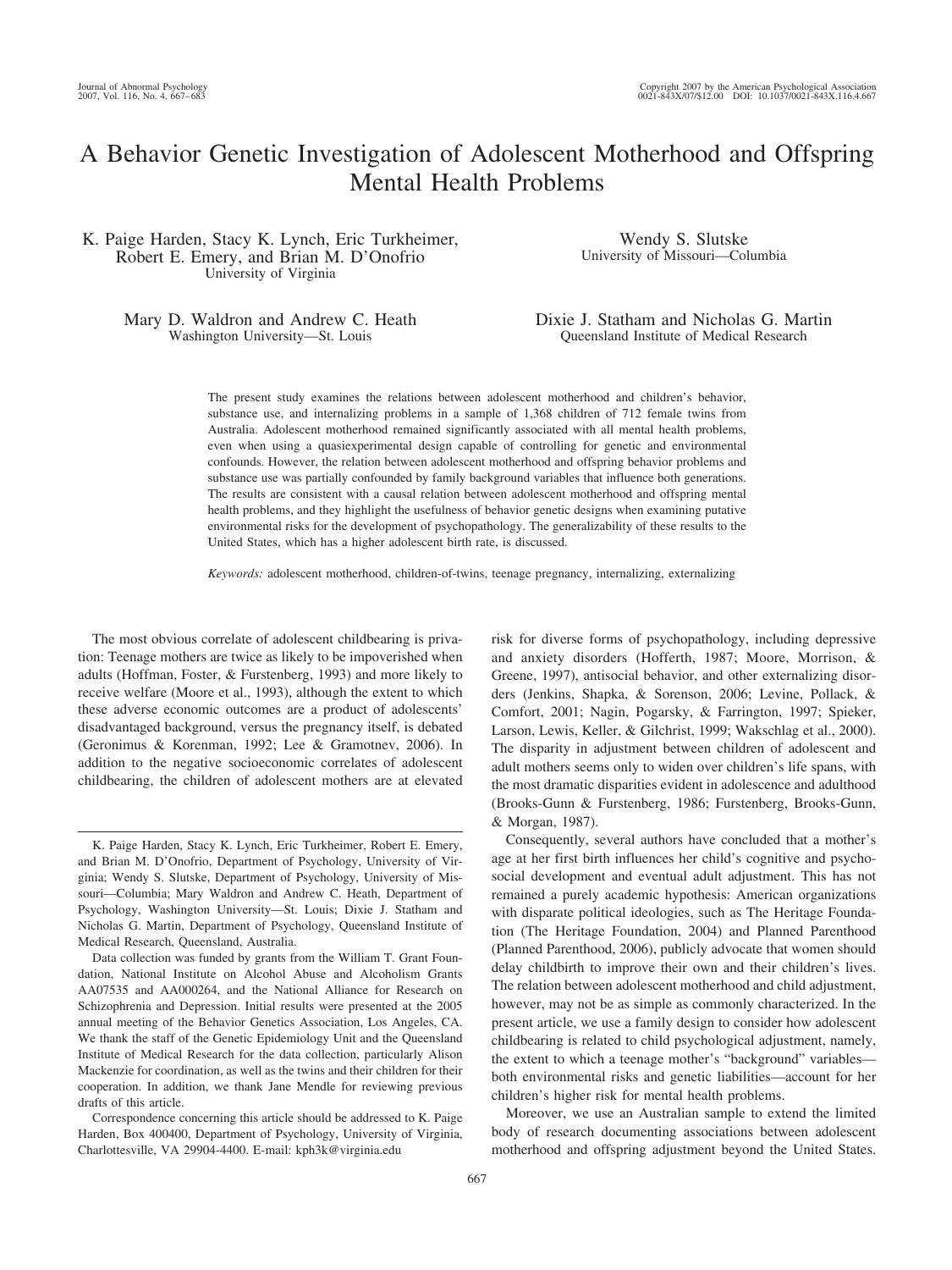# A Behavior Genetic Investigation of Adolescent Motherhood and Offspring Mental Health Problems

K. Paige Harden, Stacy K. Lynch, Eric Turkheimer, Robert E. Emery, and Brian M. D'Onofrio University of Virginia

> Mary D. Waldron and Andrew C. Heath Washington University—St. Louis

Wendy S. Slutske University of Missouri—Columbia

Dixie J. Statham and Nicholas G. Martin Queensland Institute of Medical Research

The present study examines the relations between adolescent motherhood and children's behavior, substance use, and internalizing problems in a sample of 1,368 children of 712 female twins from Australia. Adolescent motherhood remained significantly associated with all mental health problems, even when using a quasiexperimental design capable of controlling for genetic and environmental confounds. However, the relation between adolescent motherhood and offspring behavior problems and substance use was partially confounded by family background variables that influence both generations. The results are consistent with a causal relation between adolescent motherhood and offspring mental health problems, and they highlight the usefulness of behavior genetic designs when examining putative environmental risks for the development of psychopathology. The generalizability of these results to the United States, which has a higher adolescent birth rate, is discussed.

*Keywords:* adolescent motherhood, children-of-twins, teenage pregnancy, internalizing, externalizing

The most obvious correlate of adolescent childbearing is privation: Teenage mothers are twice as likely to be impoverished when adults (Hoffman, Foster, & Furstenberg, 1993) and more likely to receive welfare (Moore et al., 1993), although the extent to which these adverse economic outcomes are a product of adolescents' disadvantaged background, versus the pregnancy itself, is debated (Geronimus & Korenman, 1992; Lee & Gramotnev, 2006). In addition to the negative socioeconomic correlates of adolescent childbearing, the children of adolescent mothers are at elevated

Data collection was funded by grants from the William T. Grant Foundation, National Institute on Alcohol Abuse and Alcoholism Grants AA07535 and AA000264, and the National Alliance for Research on Schizophrenia and Depression. Initial results were presented at the 2005 annual meeting of the Behavior Genetics Association, Los Angeles, CA. We thank the staff of the Genetic Epidemiology Unit and the Queensland Institute of Medical Research for the data collection, particularly Alison Mackenzie for coordination, as well as the twins and their children for their cooperation. In addition, we thank Jane Mendle for reviewing previous drafts of this article.

Correspondence concerning this article should be addressed to K. Paige Harden, Box 400400, Department of Psychology, University of Virginia, Charlottesville, VA 29904-4400. E-mail: kph3k@virginia.edu

risk for diverse forms of psychopathology, including depressive and anxiety disorders (Hofferth, 1987; Moore, Morrison, & Greene, 1997), antisocial behavior, and other externalizing disorders (Jenkins, Shapka, & Sorenson, 2006; Levine, Pollack, & Comfort, 2001; Nagin, Pogarsky, & Farrington, 1997; Spieker, Larson, Lewis, Keller, & Gilchrist, 1999; Wakschlag et al., 2000). The disparity in adjustment between children of adolescent and adult mothers seems only to widen over children's life spans, with the most dramatic disparities evident in adolescence and adulthood (Brooks-Gunn & Furstenberg, 1986; Furstenberg, Brooks-Gunn, & Morgan, 1987).

Consequently, several authors have concluded that a mother's age at her first birth influences her child's cognitive and psychosocial development and eventual adult adjustment. This has not remained a purely academic hypothesis: American organizations with disparate political ideologies, such as The Heritage Foundation (The Heritage Foundation, 2004) and Planned Parenthood (Planned Parenthood, 2006), publicly advocate that women should delay childbirth to improve their own and their children's lives. The relation between adolescent motherhood and child adjustment, however, may not be as simple as commonly characterized. In the present article, we use a family design to consider how adolescent childbearing is related to child psychological adjustment, namely, the extent to which a teenage mother's "background" variables both environmental risks and genetic liabilities—account for her children's higher risk for mental health problems.

Moreover, we use an Australian sample to extend the limited body of research documenting associations between adolescent motherhood and offspring adjustment beyond the United States.

K. Paige Harden, Stacy K. Lynch, Eric Turkheimer, Robert E. Emery, and Brian M. D'Onofrio, Department of Psychology, University of Virginia; Wendy S. Slutske, Department of Psychology, University of Missouri—Columbia; Mary Waldron and Andrew C. Heath, Department of Psychology, Washington University—St. Louis; Dixie J. Statham and Nicholas G. Martin, Department of Psychology, Queensland Institute of Medical Research, Queensland, Australia.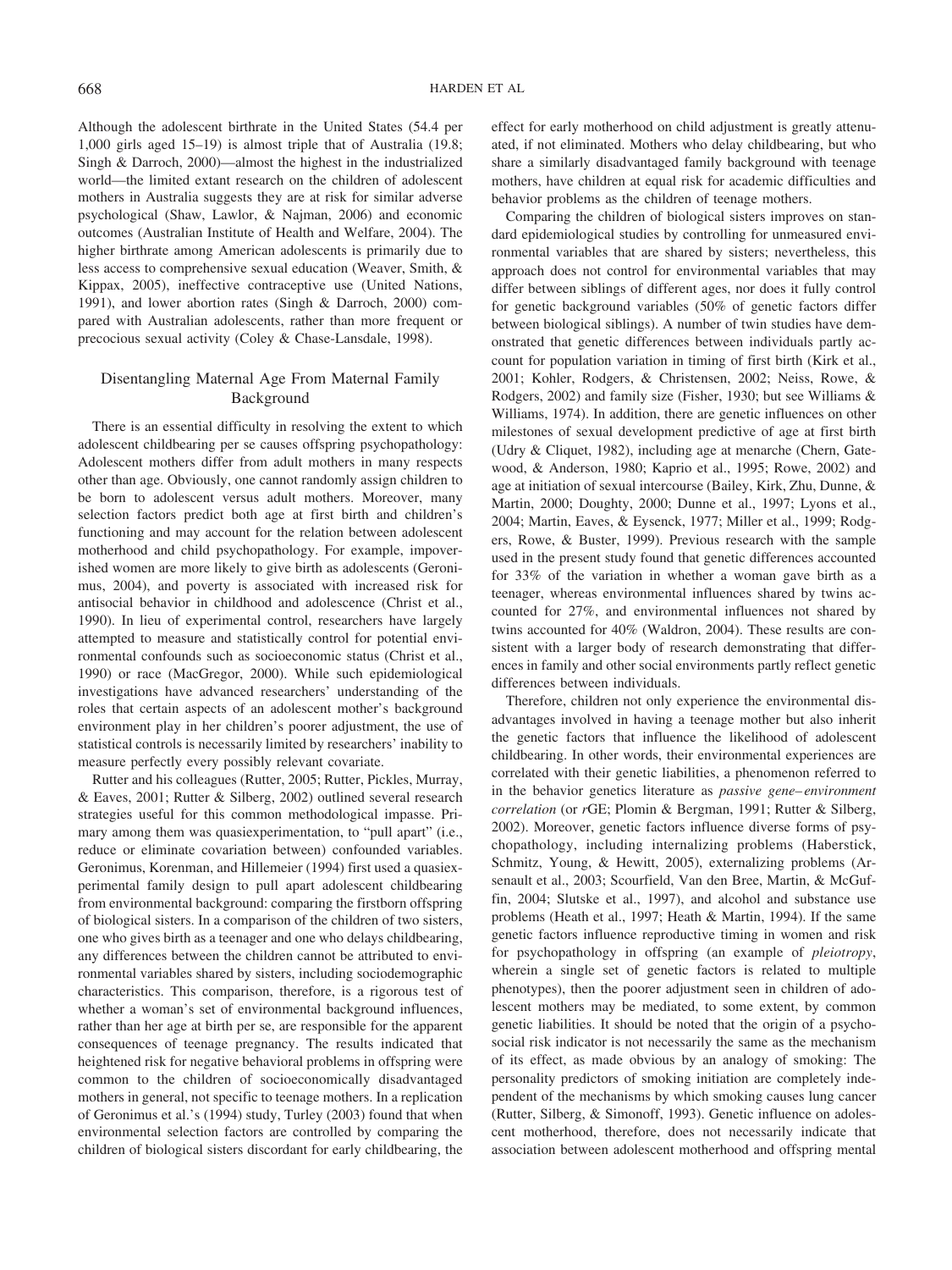Although the adolescent birthrate in the United States (54.4 per 1,000 girls aged 15–19) is almost triple that of Australia (19.8; Singh & Darroch, 2000)—almost the highest in the industrialized world—the limited extant research on the children of adolescent mothers in Australia suggests they are at risk for similar adverse psychological (Shaw, Lawlor, & Najman, 2006) and economic outcomes (Australian Institute of Health and Welfare, 2004). The higher birthrate among American adolescents is primarily due to less access to comprehensive sexual education (Weaver, Smith, & Kippax, 2005), ineffective contraceptive use (United Nations, 1991), and lower abortion rates (Singh & Darroch, 2000) compared with Australian adolescents, rather than more frequent or precocious sexual activity (Coley & Chase-Lansdale, 1998).

# Disentangling Maternal Age From Maternal Family Background

There is an essential difficulty in resolving the extent to which adolescent childbearing per se causes offspring psychopathology: Adolescent mothers differ from adult mothers in many respects other than age. Obviously, one cannot randomly assign children to be born to adolescent versus adult mothers. Moreover, many selection factors predict both age at first birth and children's functioning and may account for the relation between adolescent motherhood and child psychopathology. For example, impoverished women are more likely to give birth as adolescents (Geronimus, 2004), and poverty is associated with increased risk for antisocial behavior in childhood and adolescence (Christ et al., 1990). In lieu of experimental control, researchers have largely attempted to measure and statistically control for potential environmental confounds such as socioeconomic status (Christ et al., 1990) or race (MacGregor, 2000). While such epidemiological investigations have advanced researchers' understanding of the roles that certain aspects of an adolescent mother's background environment play in her children's poorer adjustment, the use of statistical controls is necessarily limited by researchers' inability to measure perfectly every possibly relevant covariate.

Rutter and his colleagues (Rutter, 2005; Rutter, Pickles, Murray, & Eaves, 2001; Rutter & Silberg, 2002) outlined several research strategies useful for this common methodological impasse. Primary among them was quasiexperimentation, to "pull apart" (i.e., reduce or eliminate covariation between) confounded variables. Geronimus, Korenman, and Hillemeier (1994) first used a quasiexperimental family design to pull apart adolescent childbearing from environmental background: comparing the firstborn offspring of biological sisters. In a comparison of the children of two sisters, one who gives birth as a teenager and one who delays childbearing, any differences between the children cannot be attributed to environmental variables shared by sisters, including sociodemographic characteristics. This comparison, therefore, is a rigorous test of whether a woman's set of environmental background influences, rather than her age at birth per se, are responsible for the apparent consequences of teenage pregnancy. The results indicated that heightened risk for negative behavioral problems in offspring were common to the children of socioeconomically disadvantaged mothers in general, not specific to teenage mothers. In a replication of Geronimus et al.'s (1994) study, Turley (2003) found that when environmental selection factors are controlled by comparing the children of biological sisters discordant for early childbearing, the effect for early motherhood on child adjustment is greatly attenuated, if not eliminated. Mothers who delay childbearing, but who share a similarly disadvantaged family background with teenage mothers, have children at equal risk for academic difficulties and behavior problems as the children of teenage mothers.

Comparing the children of biological sisters improves on standard epidemiological studies by controlling for unmeasured environmental variables that are shared by sisters; nevertheless, this approach does not control for environmental variables that may differ between siblings of different ages, nor does it fully control for genetic background variables (50% of genetic factors differ between biological siblings). A number of twin studies have demonstrated that genetic differences between individuals partly account for population variation in timing of first birth (Kirk et al., 2001; Kohler, Rodgers, & Christensen, 2002; Neiss, Rowe, & Rodgers, 2002) and family size (Fisher, 1930; but see Williams & Williams, 1974). In addition, there are genetic influences on other milestones of sexual development predictive of age at first birth (Udry & Cliquet, 1982), including age at menarche (Chern, Gatewood, & Anderson, 1980; Kaprio et al., 1995; Rowe, 2002) and age at initiation of sexual intercourse (Bailey, Kirk, Zhu, Dunne, & Martin, 2000; Doughty, 2000; Dunne et al., 1997; Lyons et al., 2004; Martin, Eaves, & Eysenck, 1977; Miller et al., 1999; Rodgers, Rowe, & Buster, 1999). Previous research with the sample used in the present study found that genetic differences accounted for 33% of the variation in whether a woman gave birth as a teenager, whereas environmental influences shared by twins accounted for 27%, and environmental influences not shared by twins accounted for 40% (Waldron, 2004). These results are consistent with a larger body of research demonstrating that differences in family and other social environments partly reflect genetic differences between individuals.

Therefore, children not only experience the environmental disadvantages involved in having a teenage mother but also inherit the genetic factors that influence the likelihood of adolescent childbearing. In other words, their environmental experiences are correlated with their genetic liabilities, a phenomenon referred to in the behavior genetics literature as *passive gene– environment correlation* (or *r*GE; Plomin & Bergman, 1991; Rutter & Silberg, 2002). Moreover, genetic factors influence diverse forms of psychopathology, including internalizing problems (Haberstick, Schmitz, Young, & Hewitt, 2005), externalizing problems (Arsenault et al., 2003; Scourfield, Van den Bree, Martin, & McGuffin, 2004; Slutske et al., 1997), and alcohol and substance use problems (Heath et al., 1997; Heath & Martin, 1994). If the same genetic factors influence reproductive timing in women and risk for psychopathology in offspring (an example of *pleiotropy*, wherein a single set of genetic factors is related to multiple phenotypes), then the poorer adjustment seen in children of adolescent mothers may be mediated, to some extent, by common genetic liabilities. It should be noted that the origin of a psychosocial risk indicator is not necessarily the same as the mechanism of its effect, as made obvious by an analogy of smoking: The personality predictors of smoking initiation are completely independent of the mechanisms by which smoking causes lung cancer (Rutter, Silberg, & Simonoff, 1993). Genetic influence on adolescent motherhood, therefore, does not necessarily indicate that association between adolescent motherhood and offspring mental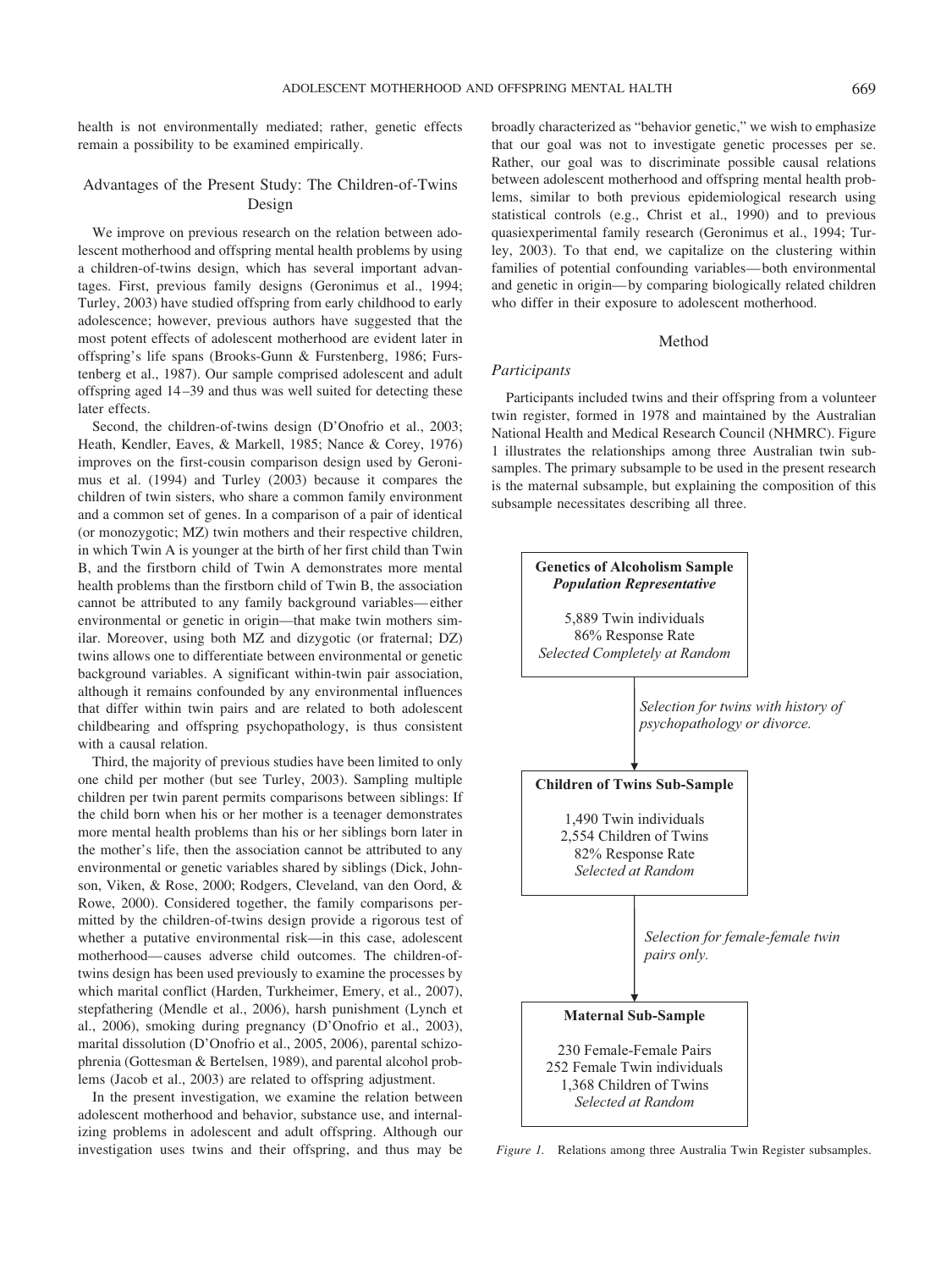health is not environmentally mediated; rather, genetic effects remain a possibility to be examined empirically.

## Advantages of the Present Study: The Children-of-Twins Design

We improve on previous research on the relation between adolescent motherhood and offspring mental health problems by using a children-of-twins design, which has several important advantages. First, previous family designs (Geronimus et al., 1994; Turley, 2003) have studied offspring from early childhood to early adolescence; however, previous authors have suggested that the most potent effects of adolescent motherhood are evident later in offspring's life spans (Brooks-Gunn & Furstenberg, 1986; Furstenberg et al., 1987). Our sample comprised adolescent and adult offspring aged 14 –39 and thus was well suited for detecting these later effects.

Second, the children-of-twins design (D'Onofrio et al., 2003; Heath, Kendler, Eaves, & Markell, 1985; Nance & Corey, 1976) improves on the first-cousin comparison design used by Geronimus et al. (1994) and Turley (2003) because it compares the children of twin sisters, who share a common family environment and a common set of genes. In a comparison of a pair of identical (or monozygotic; MZ) twin mothers and their respective children, in which Twin A is younger at the birth of her first child than Twin B, and the firstborn child of Twin A demonstrates more mental health problems than the firstborn child of Twin B, the association cannot be attributed to any family background variables— either environmental or genetic in origin—that make twin mothers similar. Moreover, using both MZ and dizygotic (or fraternal; DZ) twins allows one to differentiate between environmental or genetic background variables. A significant within-twin pair association, although it remains confounded by any environmental influences that differ within twin pairs and are related to both adolescent childbearing and offspring psychopathology, is thus consistent with a causal relation.

Third, the majority of previous studies have been limited to only one child per mother (but see Turley, 2003). Sampling multiple children per twin parent permits comparisons between siblings: If the child born when his or her mother is a teenager demonstrates more mental health problems than his or her siblings born later in the mother's life, then the association cannot be attributed to any environmental or genetic variables shared by siblings (Dick, Johnson, Viken, & Rose, 2000; Rodgers, Cleveland, van den Oord, & Rowe, 2000). Considered together, the family comparisons permitted by the children-of-twins design provide a rigorous test of whether a putative environmental risk—in this case, adolescent motherhood— causes adverse child outcomes. The children-oftwins design has been used previously to examine the processes by which marital conflict (Harden, Turkheimer, Emery, et al., 2007), stepfathering (Mendle et al., 2006), harsh punishment (Lynch et al., 2006), smoking during pregnancy (D'Onofrio et al., 2003), marital dissolution (D'Onofrio et al., 2005, 2006), parental schizophrenia (Gottesman & Bertelsen, 1989), and parental alcohol problems (Jacob et al., 2003) are related to offspring adjustment.

In the present investigation, we examine the relation between adolescent motherhood and behavior, substance use, and internalizing problems in adolescent and adult offspring. Although our investigation uses twins and their offspring, and thus may be broadly characterized as "behavior genetic," we wish to emphasize that our goal was not to investigate genetic processes per se. Rather, our goal was to discriminate possible causal relations between adolescent motherhood and offspring mental health problems, similar to both previous epidemiological research using statistical controls (e.g., Christ et al., 1990) and to previous quasiexperimental family research (Geronimus et al., 1994; Turley, 2003). To that end, we capitalize on the clustering within families of potential confounding variables— both environmental and genetic in origin— by comparing biologically related children who differ in their exposure to adolescent motherhood.

#### Method

## *Participants*

Participants included twins and their offspring from a volunteer twin register, formed in 1978 and maintained by the Australian National Health and Medical Research Council (NHMRC). Figure 1 illustrates the relationships among three Australian twin subsamples. The primary subsample to be used in the present research is the maternal subsample, but explaining the composition of this subsample necessitates describing all three.



*Figure 1.* Relations among three Australia Twin Register subsamples.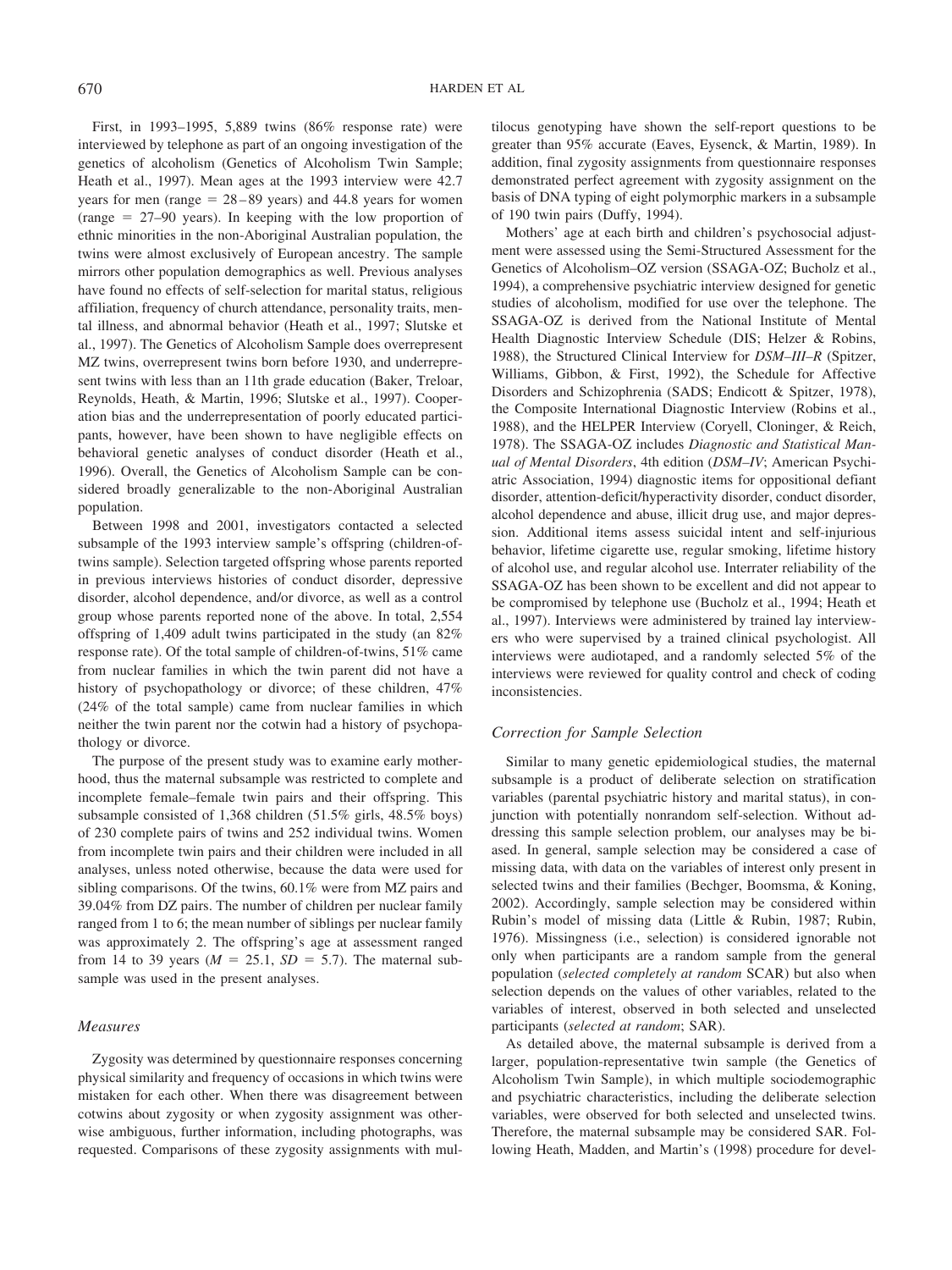First, in 1993–1995, 5,889 twins (86% response rate) were interviewed by telephone as part of an ongoing investigation of the genetics of alcoholism (Genetics of Alcoholism Twin Sample; Heath et al., 1997). Mean ages at the 1993 interview were 42.7 years for men (range  $= 28-89$  years) and 44.8 years for women (range  $= 27-90$  years). In keeping with the low proportion of ethnic minorities in the non-Aboriginal Australian population, the twins were almost exclusively of European ancestry. The sample mirrors other population demographics as well. Previous analyses have found no effects of self-selection for marital status, religious affiliation, frequency of church attendance, personality traits, mental illness, and abnormal behavior (Heath et al., 1997; Slutske et al., 1997). The Genetics of Alcoholism Sample does overrepresent MZ twins, overrepresent twins born before 1930, and underrepresent twins with less than an 11th grade education (Baker, Treloar, Reynolds, Heath, & Martin, 1996; Slutske et al., 1997). Cooperation bias and the underrepresentation of poorly educated participants, however, have been shown to have negligible effects on behavioral genetic analyses of conduct disorder (Heath et al., 1996). Overall, the Genetics of Alcoholism Sample can be considered broadly generalizable to the non-Aboriginal Australian population.

Between 1998 and 2001, investigators contacted a selected subsample of the 1993 interview sample's offspring (children-oftwins sample). Selection targeted offspring whose parents reported in previous interviews histories of conduct disorder, depressive disorder, alcohol dependence, and/or divorce, as well as a control group whose parents reported none of the above. In total, 2,554 offspring of 1,409 adult twins participated in the study (an 82% response rate). Of the total sample of children-of-twins, 51% came from nuclear families in which the twin parent did not have a history of psychopathology or divorce; of these children, 47% (24% of the total sample) came from nuclear families in which neither the twin parent nor the cotwin had a history of psychopathology or divorce.

The purpose of the present study was to examine early motherhood, thus the maternal subsample was restricted to complete and incomplete female–female twin pairs and their offspring. This subsample consisted of 1,368 children (51.5% girls, 48.5% boys) of 230 complete pairs of twins and 252 individual twins. Women from incomplete twin pairs and their children were included in all analyses, unless noted otherwise, because the data were used for sibling comparisons. Of the twins, 60.1% were from MZ pairs and 39.04% from DZ pairs. The number of children per nuclear family ranged from 1 to 6; the mean number of siblings per nuclear family was approximately 2. The offspring's age at assessment ranged from 14 to 39 years ( $M = 25.1$ ,  $SD = 5.7$ ). The maternal subsample was used in the present analyses.

#### *Measures*

Zygosity was determined by questionnaire responses concerning physical similarity and frequency of occasions in which twins were mistaken for each other. When there was disagreement between cotwins about zygosity or when zygosity assignment was otherwise ambiguous, further information, including photographs, was requested. Comparisons of these zygosity assignments with multilocus genotyping have shown the self-report questions to be greater than 95% accurate (Eaves, Eysenck, & Martin, 1989). In addition, final zygosity assignments from questionnaire responses demonstrated perfect agreement with zygosity assignment on the basis of DNA typing of eight polymorphic markers in a subsample of 190 twin pairs (Duffy, 1994).

Mothers' age at each birth and children's psychosocial adjustment were assessed using the Semi-Structured Assessment for the Genetics of Alcoholism–OZ version (SSAGA-OZ; Bucholz et al., 1994), a comprehensive psychiatric interview designed for genetic studies of alcoholism, modified for use over the telephone. The SSAGA-OZ is derived from the National Institute of Mental Health Diagnostic Interview Schedule (DIS; Helzer & Robins, 1988), the Structured Clinical Interview for *DSM–III–R* (Spitzer, Williams, Gibbon, & First, 1992), the Schedule for Affective Disorders and Schizophrenia (SADS; Endicott & Spitzer, 1978), the Composite International Diagnostic Interview (Robins et al., 1988), and the HELPER Interview (Coryell, Cloninger, & Reich, 1978). The SSAGA-OZ includes *Diagnostic and Statistical Manual of Mental Disorders*, 4th edition (*DSM–IV*; American Psychiatric Association, 1994) diagnostic items for oppositional defiant disorder, attention-deficit/hyperactivity disorder, conduct disorder, alcohol dependence and abuse, illicit drug use, and major depression. Additional items assess suicidal intent and self-injurious behavior, lifetime cigarette use, regular smoking, lifetime history of alcohol use, and regular alcohol use. Interrater reliability of the SSAGA-OZ has been shown to be excellent and did not appear to be compromised by telephone use (Bucholz et al., 1994; Heath et al., 1997). Interviews were administered by trained lay interviewers who were supervised by a trained clinical psychologist. All interviews were audiotaped, and a randomly selected 5% of the interviews were reviewed for quality control and check of coding inconsistencies.

#### *Correction for Sample Selection*

Similar to many genetic epidemiological studies, the maternal subsample is a product of deliberate selection on stratification variables (parental psychiatric history and marital status), in conjunction with potentially nonrandom self-selection. Without addressing this sample selection problem, our analyses may be biased. In general, sample selection may be considered a case of missing data, with data on the variables of interest only present in selected twins and their families (Bechger, Boomsma, & Koning, 2002). Accordingly, sample selection may be considered within Rubin's model of missing data (Little & Rubin, 1987; Rubin, 1976). Missingness (i.e., selection) is considered ignorable not only when participants are a random sample from the general population (*selected completely at random* SCAR) but also when selection depends on the values of other variables, related to the variables of interest, observed in both selected and unselected participants (*selected at random*; SAR).

As detailed above, the maternal subsample is derived from a larger, population-representative twin sample (the Genetics of Alcoholism Twin Sample), in which multiple sociodemographic and psychiatric characteristics, including the deliberate selection variables, were observed for both selected and unselected twins. Therefore, the maternal subsample may be considered SAR. Following Heath, Madden, and Martin's (1998) procedure for devel-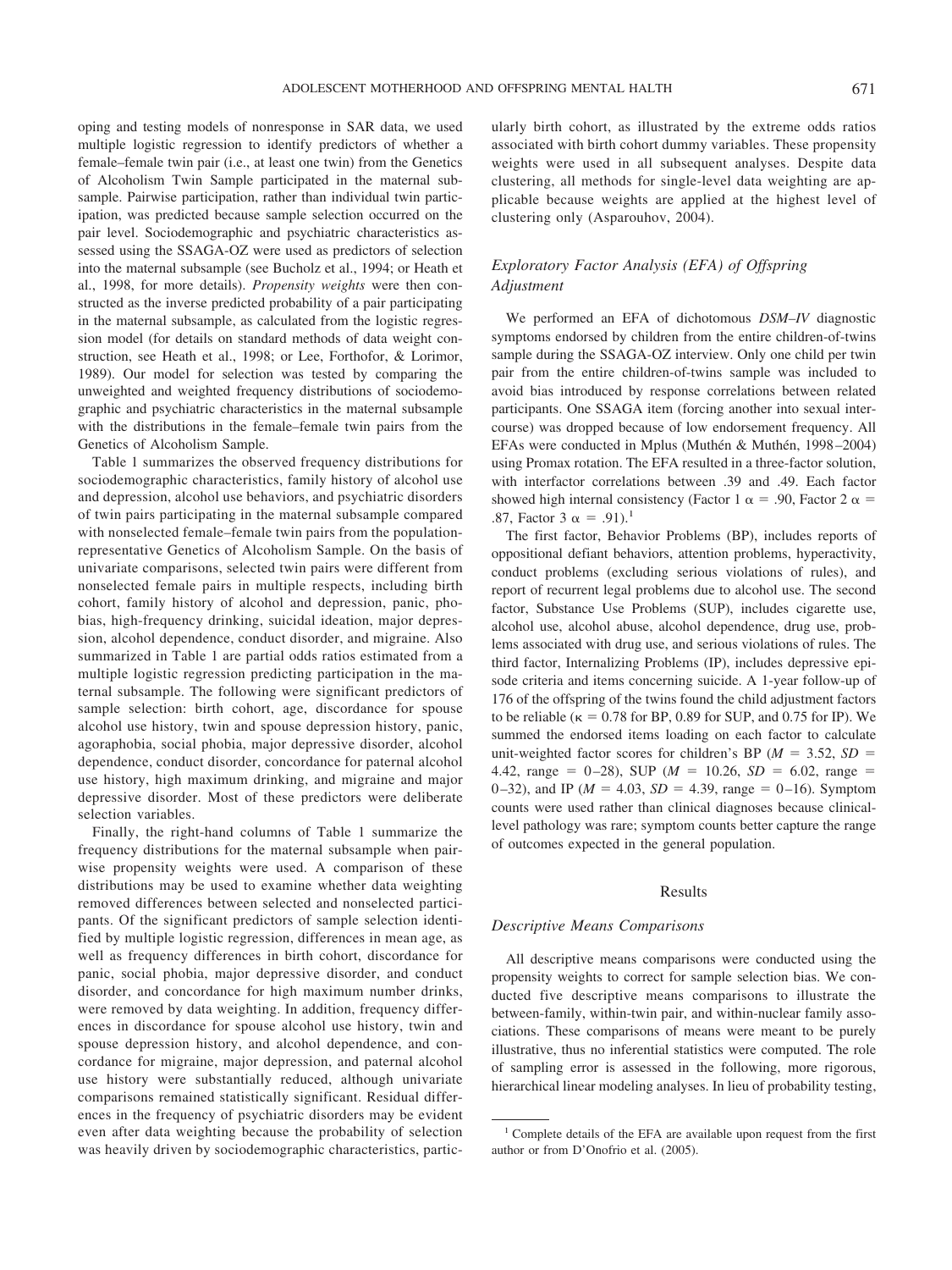oping and testing models of nonresponse in SAR data, we used multiple logistic regression to identify predictors of whether a female–female twin pair (i.e., at least one twin) from the Genetics of Alcoholism Twin Sample participated in the maternal subsample. Pairwise participation, rather than individual twin participation, was predicted because sample selection occurred on the pair level. Sociodemographic and psychiatric characteristics assessed using the SSAGA-OZ were used as predictors of selection into the maternal subsample (see Bucholz et al., 1994; or Heath et al., 1998, for more details). *Propensity weights* were then constructed as the inverse predicted probability of a pair participating in the maternal subsample, as calculated from the logistic regression model (for details on standard methods of data weight construction, see Heath et al., 1998; or Lee, Forthofor, & Lorimor, 1989). Our model for selection was tested by comparing the unweighted and weighted frequency distributions of sociodemographic and psychiatric characteristics in the maternal subsample with the distributions in the female–female twin pairs from the Genetics of Alcoholism Sample.

Table 1 summarizes the observed frequency distributions for sociodemographic characteristics, family history of alcohol use and depression, alcohol use behaviors, and psychiatric disorders of twin pairs participating in the maternal subsample compared with nonselected female–female twin pairs from the populationrepresentative Genetics of Alcoholism Sample. On the basis of univariate comparisons, selected twin pairs were different from nonselected female pairs in multiple respects, including birth cohort, family history of alcohol and depression, panic, phobias, high-frequency drinking, suicidal ideation, major depression, alcohol dependence, conduct disorder, and migraine. Also summarized in Table 1 are partial odds ratios estimated from a multiple logistic regression predicting participation in the maternal subsample. The following were significant predictors of sample selection: birth cohort, age, discordance for spouse alcohol use history, twin and spouse depression history, panic, agoraphobia, social phobia, major depressive disorder, alcohol dependence, conduct disorder, concordance for paternal alcohol use history, high maximum drinking, and migraine and major depressive disorder. Most of these predictors were deliberate selection variables.

Finally, the right-hand columns of Table 1 summarize the frequency distributions for the maternal subsample when pairwise propensity weights were used. A comparison of these distributions may be used to examine whether data weighting removed differences between selected and nonselected participants. Of the significant predictors of sample selection identified by multiple logistic regression, differences in mean age, as well as frequency differences in birth cohort, discordance for panic, social phobia, major depressive disorder, and conduct disorder, and concordance for high maximum number drinks, were removed by data weighting. In addition, frequency differences in discordance for spouse alcohol use history, twin and spouse depression history, and alcohol dependence, and concordance for migraine, major depression, and paternal alcohol use history were substantially reduced, although univariate comparisons remained statistically significant. Residual differences in the frequency of psychiatric disorders may be evident even after data weighting because the probability of selection was heavily driven by sociodemographic characteristics, particularly birth cohort, as illustrated by the extreme odds ratios associated with birth cohort dummy variables. These propensity weights were used in all subsequent analyses. Despite data clustering, all methods for single-level data weighting are applicable because weights are applied at the highest level of clustering only (Asparouhov, 2004).

# *Exploratory Factor Analysis (EFA) of Offspring Adjustment*

We performed an EFA of dichotomous *DSM–IV* diagnostic symptoms endorsed by children from the entire children-of-twins sample during the SSAGA-OZ interview. Only one child per twin pair from the entire children-of-twins sample was included to avoid bias introduced by response correlations between related participants. One SSAGA item (forcing another into sexual intercourse) was dropped because of low endorsement frequency. All EFAs were conducted in Mplus (Muthén & Muthén, 1998-2004) using Promax rotation. The EFA resulted in a three-factor solution, with interfactor correlations between .39 and .49. Each factor showed high internal consistency (Factor 1  $\alpha$  = .90, Factor 2  $\alpha$  = .87, Factor 3  $\alpha = .91$ .<sup>1</sup>

The first factor, Behavior Problems (BP), includes reports of oppositional defiant behaviors, attention problems, hyperactivity, conduct problems (excluding serious violations of rules), and report of recurrent legal problems due to alcohol use. The second factor, Substance Use Problems (SUP), includes cigarette use, alcohol use, alcohol abuse, alcohol dependence, drug use, problems associated with drug use, and serious violations of rules. The third factor, Internalizing Problems (IP), includes depressive episode criteria and items concerning suicide. A 1-year follow-up of 176 of the offspring of the twins found the child adjustment factors to be reliable ( $\kappa = 0.78$  for BP, 0.89 for SUP, and 0.75 for IP). We summed the endorsed items loading on each factor to calculate unit-weighted factor scores for children's BP ( $M = 3.52$ ,  $SD =$ 4.42, range  $= 0-28$ ), SUP ( $M = 10.26$ ,  $SD = 6.02$ , range  $=$ 0-32), and IP ( $M = 4.03$ ,  $SD = 4.39$ , range = 0-16). Symptom counts were used rather than clinical diagnoses because clinicallevel pathology was rare; symptom counts better capture the range of outcomes expected in the general population.

#### Results

#### *Descriptive Means Comparisons*

All descriptive means comparisons were conducted using the propensity weights to correct for sample selection bias. We conducted five descriptive means comparisons to illustrate the between-family, within-twin pair, and within-nuclear family associations. These comparisons of means were meant to be purely illustrative, thus no inferential statistics were computed. The role of sampling error is assessed in the following, more rigorous, hierarchical linear modeling analyses. In lieu of probability testing,

<sup>&</sup>lt;sup>1</sup> Complete details of the EFA are available upon request from the first author or from D'Onofrio et al. (2005).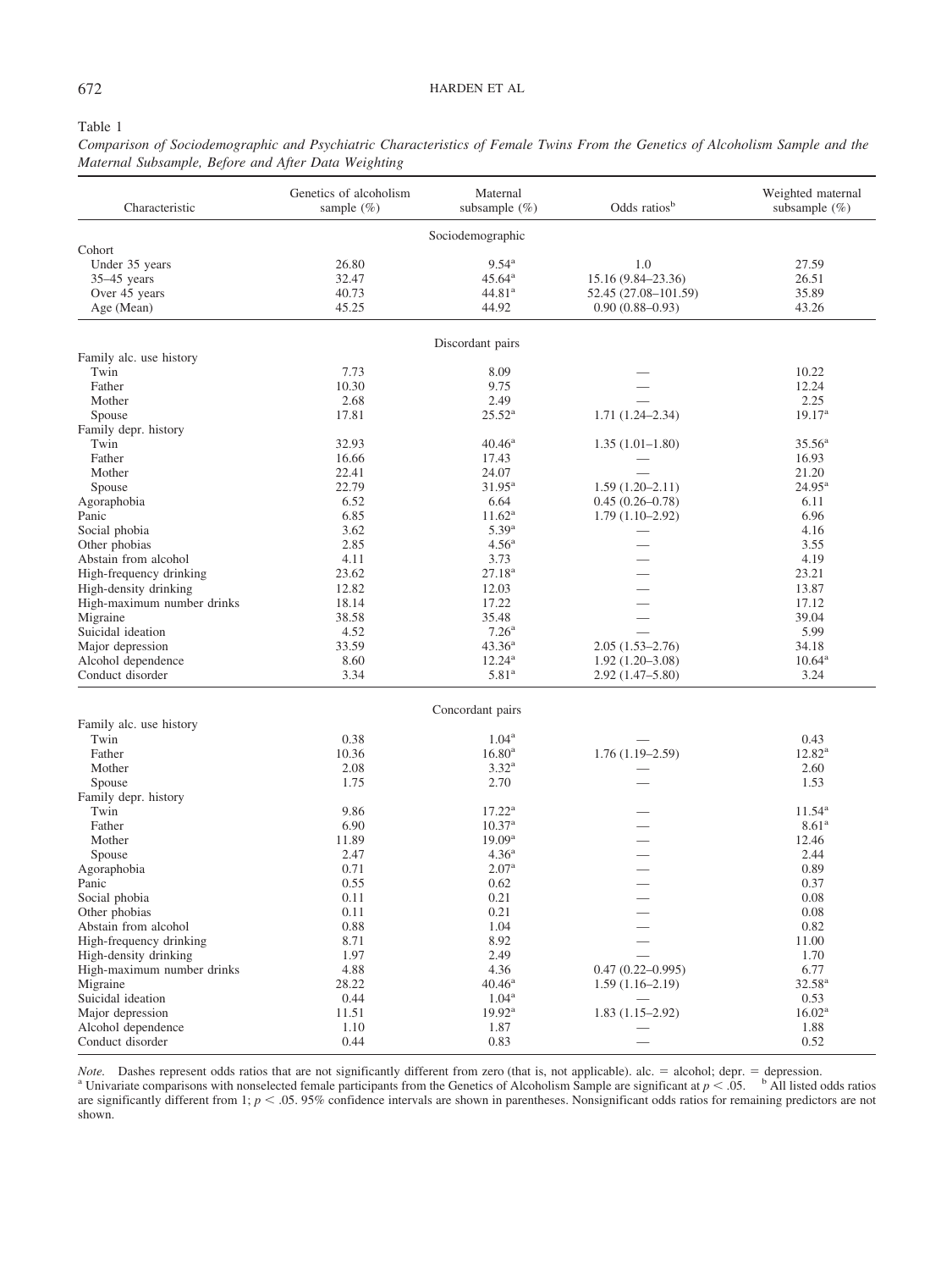## 672 HARDEN ET AL

#### Table 1

*Comparison of Sociodemographic and Psychiatric Characteristics of Female Twins From the Genetics of Alcoholism Sample and the Maternal Subsample, Before and After Data Weighting*

| Characteristic             | Genetics of alcoholism<br>sample $(\% )$ | Maternal<br>subsample $(\% )$ | Odds ratios <sup>b</sup> | Weighted maternal<br>subsample $(\% )$ |
|----------------------------|------------------------------------------|-------------------------------|--------------------------|----------------------------------------|
|                            |                                          | Sociodemographic              |                          |                                        |
| Cohort                     |                                          |                               |                          |                                        |
| Under 35 years             | 26.80                                    | $9.54^{\rm a}$                | 1.0                      | 27.59                                  |
| $35-45$ years              | 32.47                                    | $45.64^{\rm a}$               | 15.16 (9.84-23.36)       | 26.51                                  |
| Over 45 years              | 40.73                                    | 44.81 <sup>a</sup>            | 52.45 (27.08-101.59)     | 35.89                                  |
| Age (Mean)                 | 45.25                                    | 44.92                         | $0.90(0.88 - 0.93)$      | 43.26                                  |
|                            |                                          | Discordant pairs              |                          |                                        |
| Family alc. use history    |                                          |                               |                          |                                        |
| Twin                       | 7.73                                     | 8.09                          |                          | 10.22                                  |
| Father                     | 10.30                                    | 9.75                          |                          | 12.24                                  |
| Mother                     | 2.68                                     | 2.49                          |                          | 2.25                                   |
| Spouse                     | 17.81                                    | $25.52^{\rm a}$               | $1.71(1.24 - 2.34)$      | 19.17 <sup>a</sup>                     |
| Family depr. history       |                                          |                               |                          |                                        |
| Twin                       | 32.93                                    | $40.46^{\rm a}$               | $1.35(1.01-1.80)$        | $35.56^{\circ}$                        |
| Father                     | 16.66                                    | 17.43                         |                          | 16.93                                  |
| Mother                     | 22.41                                    | 24.07                         |                          | 21.20                                  |
| Spouse                     | 22.79                                    | $31.95^{\rm a}$               | $1.59(1.20 - 2.11)$      | $24.95^{\rm a}$                        |
| Agoraphobia                | 6.52                                     | 6.64                          | $0.45(0.26 - 0.78)$      | 6.11                                   |
| Panic                      | 6.85                                     | $11.62^{\rm a}$               | $1.79(1.10-2.92)$        | 6.96                                   |
| Social phobia              | 3.62                                     | $5.39^{a}$                    |                          | 4.16                                   |
| Other phobias              | 2.85                                     | 4.56 <sup>a</sup>             |                          | 3.55                                   |
| Abstain from alcohol       | 4.11                                     | 3.73                          |                          | 4.19                                   |
| High-frequency drinking    | 23.62                                    | $27.18^{a}$                   |                          | 23.21                                  |
| High-density drinking      | 12.82                                    | 12.03                         |                          | 13.87                                  |
| High-maximum number drinks | 18.14                                    | 17.22                         |                          | 17.12                                  |
| Migraine                   | 38.58                                    | 35.48                         |                          | 39.04                                  |
| Suicidal ideation          | 4.52                                     | 7.26 <sup>a</sup>             |                          | 5.99                                   |
| Major depression           | 33.59                                    | $43.36^{\rm a}$               | $2.05(1.53 - 2.76)$      | 34.18                                  |
| Alcohol dependence         | 8.60                                     | $12.24^{\rm a}$               | $1.92(1.20-3.08)$        | $10.64^{\rm a}$                        |
| Conduct disorder           | 3.34                                     | 5.81 <sup>a</sup>             | $2.92(1.47 - 5.80)$      | 3.24                                   |
|                            |                                          | Concordant pairs              |                          |                                        |
| Family alc. use history    |                                          |                               |                          |                                        |
| Twin                       | 0.38                                     | $1.04^{\rm a}$                |                          | 0.43                                   |
| Father                     | 10.36                                    | $16.80^{\rm a}$               | $1.76(1.19-2.59)$        | $12.82^{\rm a}$                        |
| Mother                     | 2.08                                     | 3.32 <sup>a</sup>             |                          | 2.60                                   |
| Spouse                     | 1.75                                     | 2.70                          |                          | 1.53                                   |
| Family depr. history       |                                          |                               |                          |                                        |
| Twin                       | 9.86                                     | $17.22^{\rm a}$               |                          | $11.54^{\rm a}$                        |
| Father                     | 6.90                                     | $10.37^{\rm a}$               |                          | 8.61 <sup>a</sup>                      |
| Mother                     | 11.89                                    | 19.09 <sup>a</sup>            |                          | 12.46                                  |
| Spouse                     | 2.47                                     | 4.36 <sup>a</sup>             |                          | 2.44                                   |
| Agoraphobia                | 0.71                                     | 2.07 <sup>a</sup>             |                          | 0.89                                   |
| Panic                      | 0.55                                     | 0.62                          |                          | 0.37                                   |
| Social phobia              | 0.11                                     | 0.21                          |                          | 0.08                                   |
| Other phobias              | 0.11                                     | 0.21                          |                          | 0.08                                   |
| Abstain from alcohol       | 0.88                                     | 1.04                          |                          | 0.82                                   |
| High-frequency drinking    | 8.71                                     | 8.92                          |                          | 11.00                                  |
| High-density drinking      | 1.97                                     | 2.49                          |                          | 1.70                                   |
| High-maximum number drinks | 4.88                                     | 4.36                          | $0.47(0.22 - 0.995)$     | 6.77                                   |
| Migraine                   | 28.22                                    | $40.46^{\rm a}$               | $1.59(1.16-2.19)$        | $32.58^{a}$                            |
| Suicidal ideation          | 0.44                                     | $1.04^{\rm a}$                |                          | 0.53                                   |
| Major depression           | 11.51                                    | 19.92 <sup>a</sup>            | $1.83(1.15-2.92)$        | 16.02 <sup>a</sup>                     |
| Alcohol dependence         | 1.10                                     | 1.87                          |                          | 1.88                                   |
| Conduct disorder           | 0.44                                     | 0.83                          |                          | 0.52                                   |

*Note.* Dashes represent odds ratios that are not significantly different from zero (that is, not applicable). alc. = alcohol; depr. = depression.<br><sup>a</sup> Univariate comparisons with nonselected female participants from the G are significantly different from 1;  $p < .05$ . 95% confidence intervals are shown in parentheses. Nonsignificant odds ratios for remaining predictors are not shown.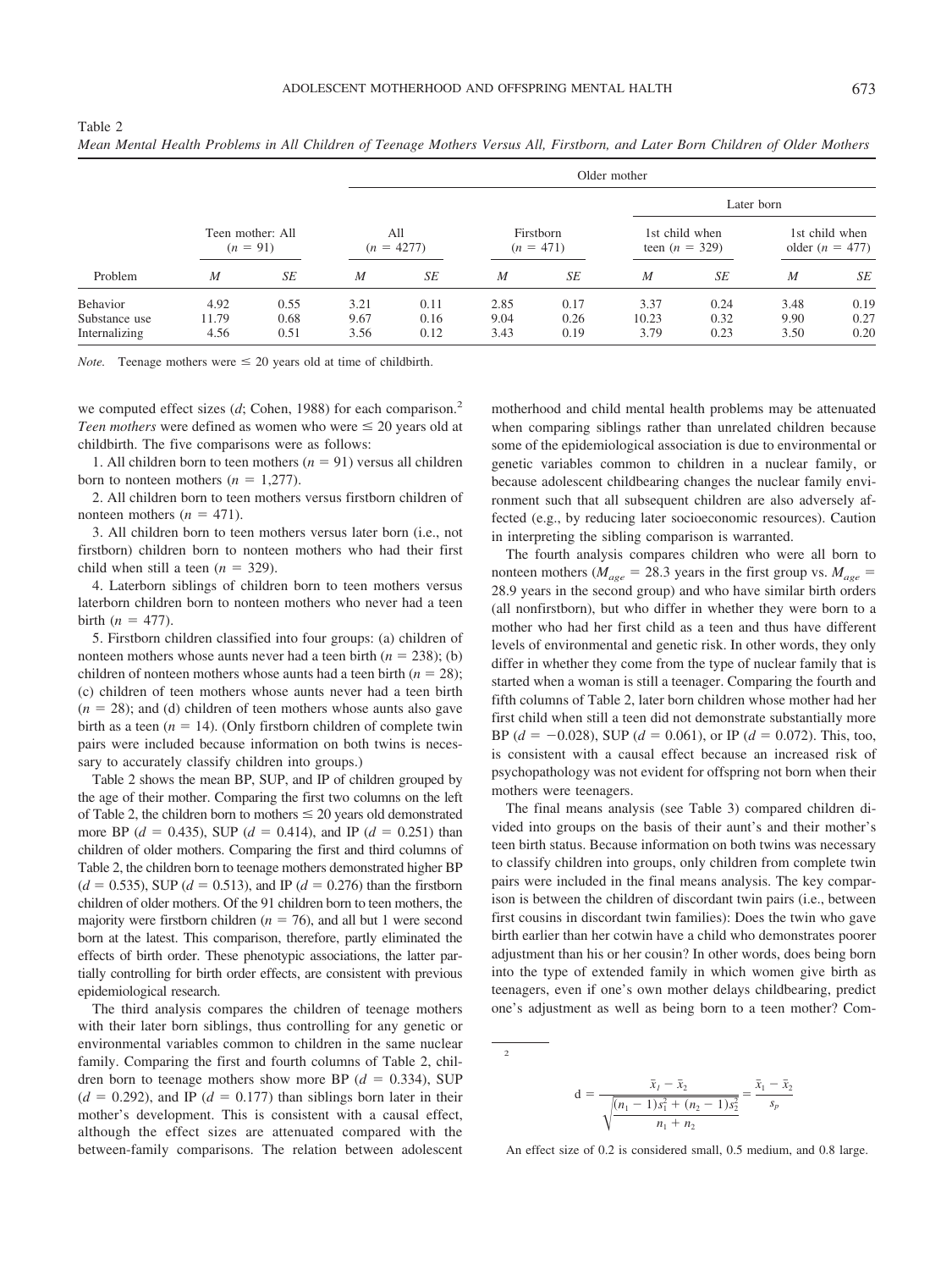| I<br>w<br>٧ | I<br>v |
|-------------|--------|

|                                            |                       |                      |                      | Older mother         |                          |                      |                                    |                      |                                     |                      |  |  |  |
|--------------------------------------------|-----------------------|----------------------|----------------------|----------------------|--------------------------|----------------------|------------------------------------|----------------------|-------------------------------------|----------------------|--|--|--|
|                                            |                       |                      |                      |                      |                          |                      |                                    | Later born           |                                     |                      |  |  |  |
| Teen mother: All<br>$(n = 91)$             |                       |                      | All<br>$(n = 4277)$  |                      | Firstborn<br>$(n = 471)$ |                      | 1st child when<br>teen $(n = 329)$ |                      | 1st child when<br>older $(n = 477)$ |                      |  |  |  |
| Problem                                    | M                     | SE                   | $\boldsymbol{M}$     | SE                   | $\boldsymbol{M}$         | SE                   | $\boldsymbol{M}$                   | SE                   | $\boldsymbol{M}$                    | SE                   |  |  |  |
| Behavior<br>Substance use<br>Internalizing | 4.92<br>11.79<br>4.56 | 0.55<br>0.68<br>0.51 | 3.21<br>9.67<br>3.56 | 0.11<br>0.16<br>0.12 | 2.85<br>9.04<br>3.43     | 0.17<br>0.26<br>0.19 | 3.37<br>10.23<br>3.79              | 0.24<br>0.32<br>0.23 | 3.48<br>9.90<br>3.50                | 0.19<br>0.27<br>0.20 |  |  |  |

Table 2 *Mean Mental Health Problems in All Children of Teenage Mothers Versus All, Firstborn, and Later Born Children of Older Mothers*

*Note.* Teenage mothers were  $\leq 20$  years old at time of childbirth.

we computed effect sizes (*d*; Cohen, 1988) for each comparison.<sup>2</sup> *Teen mothers* were defined as women who were  $\leq 20$  years old at childbirth. The five comparisons were as follows:

1. All children born to teen mothers  $(n = 91)$  versus all children born to nonteen mothers  $(n = 1,277)$ .

2. All children born to teen mothers versus firstborn children of nonteen mothers  $(n = 471)$ .

3. All children born to teen mothers versus later born (i.e., not firstborn) children born to nonteen mothers who had their first child when still a teen  $(n = 329)$ .

4. Laterborn siblings of children born to teen mothers versus laterborn children born to nonteen mothers who never had a teen birth  $(n = 477)$ .

5. Firstborn children classified into four groups: (a) children of nonteen mothers whose aunts never had a teen birth  $(n = 238)$ ; (b) children of nonteen mothers whose aunts had a teen birth  $(n = 28)$ ; (c) children of teen mothers whose aunts never had a teen birth  $(n = 28)$ ; and (d) children of teen mothers whose aunts also gave birth as a teen  $(n = 14)$ . (Only firstborn children of complete twin pairs were included because information on both twins is necessary to accurately classify children into groups.)

Table 2 shows the mean BP, SUP, and IP of children grouped by the age of their mother. Comparing the first two columns on the left of Table 2, the children born to mothers  $\leq 20$  years old demonstrated more BP ( $d = 0.435$ ), SUP ( $d = 0.414$ ), and IP ( $d = 0.251$ ) than children of older mothers. Comparing the first and third columns of Table 2, the children born to teenage mothers demonstrated higher BP  $(d = 0.535)$ , SUP ( $d = 0.513$ ), and IP ( $d = 0.276$ ) than the firstborn children of older mothers. Of the 91 children born to teen mothers, the majority were firstborn children ( $n = 76$ ), and all but 1 were second born at the latest. This comparison, therefore, partly eliminated the effects of birth order. These phenotypic associations, the latter partially controlling for birth order effects, are consistent with previous epidemiological research.

The third analysis compares the children of teenage mothers with their later born siblings, thus controlling for any genetic or environmental variables common to children in the same nuclear family. Comparing the first and fourth columns of Table 2, children born to teenage mothers show more BP  $(d = 0.334)$ , SUP  $(d = 0.292)$ , and IP  $(d = 0.177)$  than siblings born later in their mother's development. This is consistent with a causal effect, although the effect sizes are attenuated compared with the between-family comparisons. The relation between adolescent motherhood and child mental health problems may be attenuated when comparing siblings rather than unrelated children because some of the epidemiological association is due to environmental or genetic variables common to children in a nuclear family, or because adolescent childbearing changes the nuclear family environment such that all subsequent children are also adversely affected (e.g., by reducing later socioeconomic resources). Caution in interpreting the sibling comparison is warranted.

The fourth analysis compares children who were all born to nonteen mothers ( $M_{age}$  = 28.3 years in the first group vs.  $M_{age}$  = 28.9 years in the second group) and who have similar birth orders (all nonfirstborn), but who differ in whether they were born to a mother who had her first child as a teen and thus have different levels of environmental and genetic risk. In other words, they only differ in whether they come from the type of nuclear family that is started when a woman is still a teenager. Comparing the fourth and fifth columns of Table 2, later born children whose mother had her first child when still a teen did not demonstrate substantially more BP ( $d = -0.028$ ), SUP ( $d = 0.061$ ), or IP ( $d = 0.072$ ). This, too, is consistent with a causal effect because an increased risk of psychopathology was not evident for offspring not born when their mothers were teenagers.

The final means analysis (see Table 3) compared children divided into groups on the basis of their aunt's and their mother's teen birth status. Because information on both twins was necessary to classify children into groups, only children from complete twin pairs were included in the final means analysis. The key comparison is between the children of discordant twin pairs (i.e., between first cousins in discordant twin families): Does the twin who gave birth earlier than her cotwin have a child who demonstrates poorer adjustment than his or her cousin? In other words, does being born into the type of extended family in which women give birth as teenagers, even if one's own mother delays childbearing, predict one's adjustment as well as being born to a teen mother? Com-

$$
d = \frac{\bar{x}_1 - \bar{x}_2}{\sqrt{\frac{(n_1 - 1)s_1^2 + (n_2 - 1)s_2^2}{n_1 + n_2}}} = \frac{\bar{x}_1 - \bar{x}_2}{s_p}
$$

An effect size of 0.2 is considered small, 0.5 medium, and 0.8 large.

 $\overline{2}$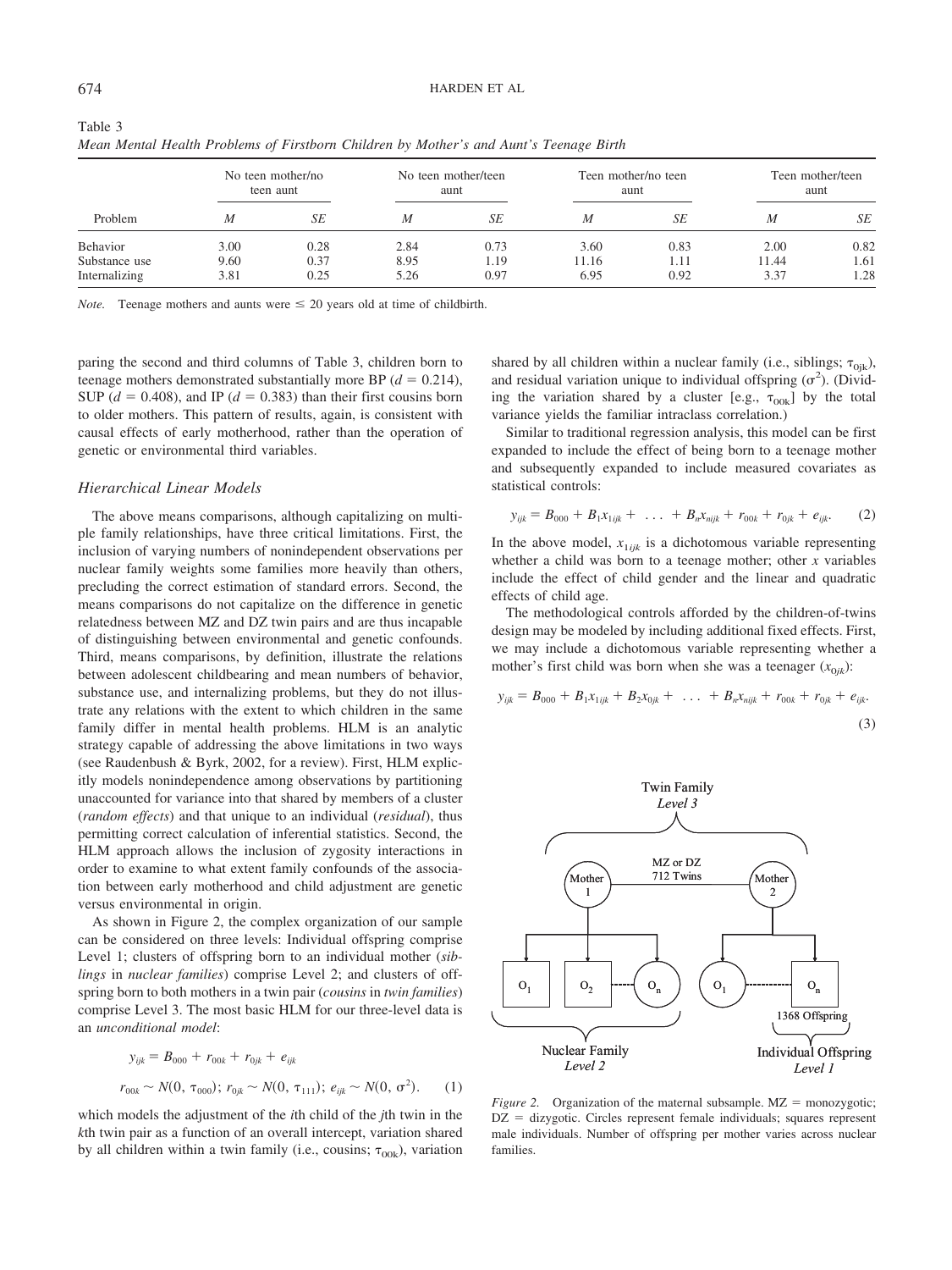| Problem       | No teen mother/no<br>teen aunt |      | No teen mother/teen<br>aunt |      | Teen mother/no teen<br>aunt |      | Teen mother/teen<br>aunt |      |
|---------------|--------------------------------|------|-----------------------------|------|-----------------------------|------|--------------------------|------|
|               | M                              | SE   | M                           | SE   | M                           | SE   | M                        | SE   |
| Behavior      | 3.00                           | 0.28 | 2.84                        | 0.73 | 3.60                        | 0.83 | 2.00                     | 0.82 |
| Substance use | 9.60                           | 0.37 | 8.95                        | 1.19 | 11.16                       | 1.11 | 11.44                    | 1.61 |
| Internalizing | 3.81                           | 0.25 | 5.26                        | 0.97 | 6.95                        | 0.92 | 3.37                     | 1.28 |

Table 3 *Mean Mental Health Problems of Firstborn Children by Mother's and Aunt's Teenage Birth*

*Note.* Teenage mothers and aunts were  $\leq 20$  years old at time of childbirth.

paring the second and third columns of Table 3, children born to teenage mothers demonstrated substantially more BP  $(d = 0.214)$ , SUP ( $d = 0.408$ ), and IP ( $d = 0.383$ ) than their first cousins born to older mothers. This pattern of results, again, is consistent with causal effects of early motherhood, rather than the operation of genetic or environmental third variables.

#### *Hierarchical Linear Models*

The above means comparisons, although capitalizing on multiple family relationships, have three critical limitations. First, the inclusion of varying numbers of nonindependent observations per nuclear family weights some families more heavily than others, precluding the correct estimation of standard errors. Second, the means comparisons do not capitalize on the difference in genetic relatedness between MZ and DZ twin pairs and are thus incapable of distinguishing between environmental and genetic confounds. Third, means comparisons, by definition, illustrate the relations between adolescent childbearing and mean numbers of behavior, substance use, and internalizing problems, but they do not illustrate any relations with the extent to which children in the same family differ in mental health problems. HLM is an analytic strategy capable of addressing the above limitations in two ways (see Raudenbush & Byrk, 2002, for a review). First, HLM explicitly models nonindependence among observations by partitioning unaccounted for variance into that shared by members of a cluster (*random effects*) and that unique to an individual (*residual*), thus permitting correct calculation of inferential statistics. Second, the HLM approach allows the inclusion of zygosity interactions in order to examine to what extent family confounds of the association between early motherhood and child adjustment are genetic versus environmental in origin.

As shown in Figure 2, the complex organization of our sample can be considered on three levels: Individual offspring comprise Level 1; clusters of offspring born to an individual mother (*siblings* in *nuclear families*) comprise Level 2; and clusters of offspring born to both mothers in a twin pair (*cousins* in *twin families*) comprise Level 3. The most basic HLM for our three-level data is an *unconditional model*:

$$
y_{ijk} = B_{000} + r_{00k} + r_{0jk} + e_{ijk}
$$
  
\n
$$
r_{00k} \sim N(0, \tau_{000}); r_{0jk} \sim N(0, \tau_{111}); e_{ijk} \sim N(0, \sigma^2).
$$
 (1)

which models the adjustment of the *i*th child of the *j*th twin in the *k*th twin pair as a function of an overall intercept, variation shared by all children within a twin family (i.e., cousins;  $\tau_{00k}$ ), variation

shared by all children within a nuclear family (i.e., siblings;  $\tau_{0ik}$ ), and residual variation unique to individual offspring  $(\sigma^2)$ . (Dividing the variation shared by a cluster [e.g.,  $\tau_{00k}$ ] by the total variance yields the familiar intraclass correlation.)

Similar to traditional regression analysis, this model can be first expanded to include the effect of being born to a teenage mother and subsequently expanded to include measured covariates as statistical controls:

$$
y_{ijk} = B_{000} + B_1 x_{1ijk} + \ldots + B_n x_{nijk} + r_{00k} + r_{0jk} + e_{ijk}. \qquad (2)
$$

In the above model,  $x_{1ijk}$  is a dichotomous variable representing whether a child was born to a teenage mother; other *x* variables include the effect of child gender and the linear and quadratic effects of child age.

The methodological controls afforded by the children-of-twins design may be modeled by including additional fixed effects. First, we may include a dichotomous variable representing whether a mother's first child was born when she was a teenager  $(x_{0ik})$ :

$$
y_{ijk} = B_{000} + B_1 x_{1ijk} + B_2 x_{0jk} + \ldots + B_n x_{nijk} + r_{00k} + r_{0jk} + e_{ijk}.
$$
\n(3)



*Figure 2.* Organization of the maternal subsample.  $MZ = monozygotic;$  $DZ =$  dizygotic. Circles represent female individuals; squares represent male individuals. Number of offspring per mother varies across nuclear families.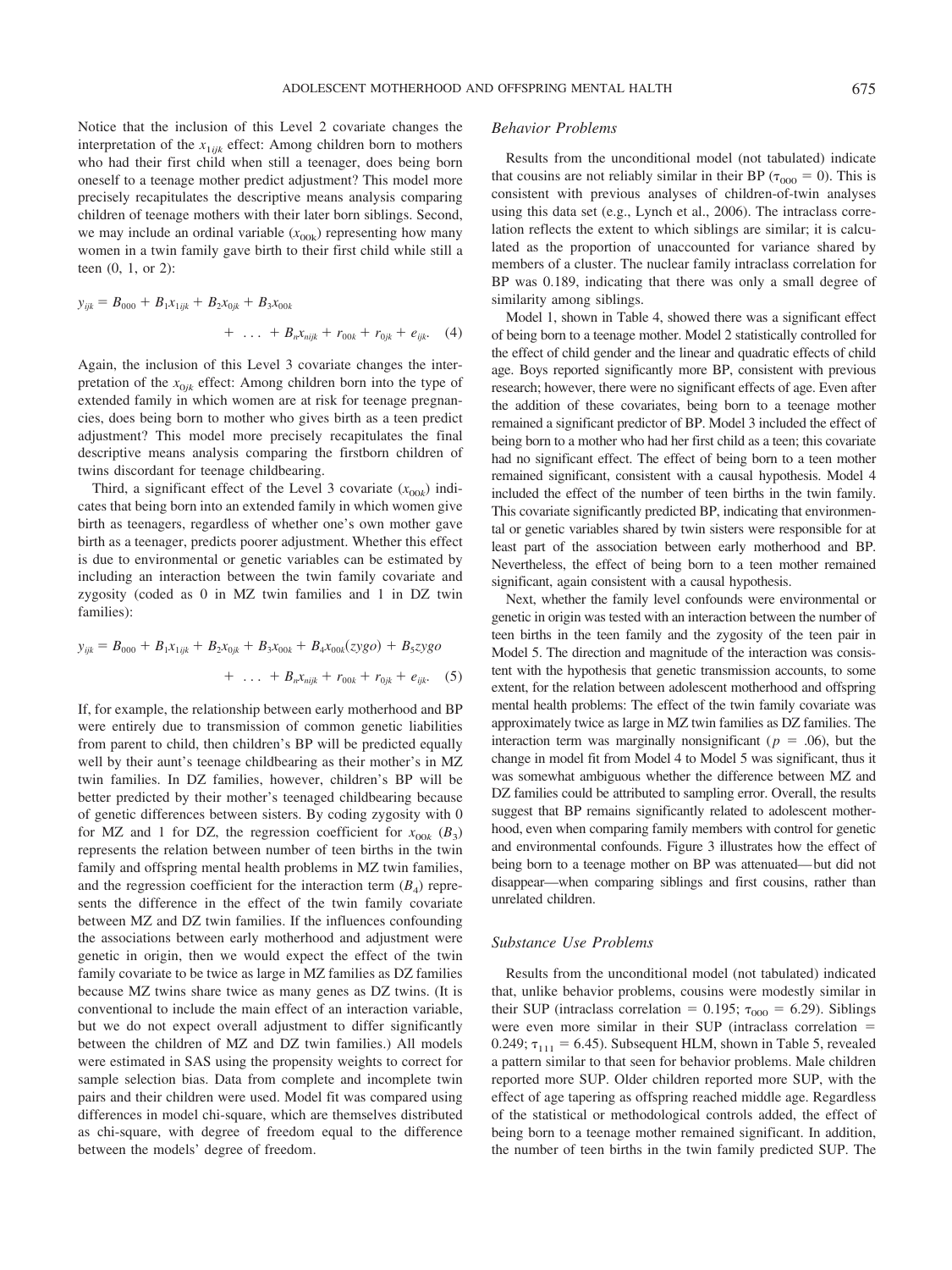Notice that the inclusion of this Level 2 covariate changes the interpretation of the  $x_{1ijk}$  effect: Among children born to mothers who had their first child when still a teenager, does being born oneself to a teenage mother predict adjustment? This model more precisely recapitulates the descriptive means analysis comparing children of teenage mothers with their later born siblings. Second, we may include an ordinal variable  $(x_{00k})$  representing how many women in a twin family gave birth to their first child while still a teen (0, 1, or 2):

$$
y_{ijk} = B_{000} + B_1 x_{1ijk} + B_2 x_{0jk} + B_3 x_{00k} + \ldots + B_n x_{nijk} + r_{00k} + r_{0jk} + e_{ijk}. \quad (4)
$$

Again, the inclusion of this Level 3 covariate changes the interpretation of the  $x_{0ik}$  effect: Among children born into the type of extended family in which women are at risk for teenage pregnancies, does being born to mother who gives birth as a teen predict adjustment? This model more precisely recapitulates the final descriptive means analysis comparing the firstborn children of twins discordant for teenage childbearing.

Third, a significant effect of the Level 3 covariate  $(x_{00k})$  indicates that being born into an extended family in which women give birth as teenagers, regardless of whether one's own mother gave birth as a teenager, predicts poorer adjustment. Whether this effect is due to environmental or genetic variables can be estimated by including an interaction between the twin family covariate and zygosity (coded as 0 in MZ twin families and 1 in DZ twin families):

$$
y_{ijk} = B_{000} + B_1 x_{1ijk} + B_2 x_{0jk} + B_3 x_{00k} + B_4 x_{00k} (zyg0) + B_5 zyg0
$$
  
+ ... +  $B_n x_{nijk} + r_{00k} + r_{0jk} + e_{ijk}$ . (5)

If, for example, the relationship between early motherhood and BP were entirely due to transmission of common genetic liabilities from parent to child, then children's BP will be predicted equally well by their aunt's teenage childbearing as their mother's in MZ twin families. In DZ families, however, children's BP will be better predicted by their mother's teenaged childbearing because of genetic differences between sisters. By coding zygosity with 0 for MZ and 1 for DZ, the regression coefficient for  $x_{00k}$  ( $B_3$ ) represents the relation between number of teen births in the twin family and offspring mental health problems in MZ twin families, and the regression coefficient for the interaction term  $(B_4)$  represents the difference in the effect of the twin family covariate between MZ and DZ twin families. If the influences confounding the associations between early motherhood and adjustment were genetic in origin, then we would expect the effect of the twin family covariate to be twice as large in MZ families as DZ families because MZ twins share twice as many genes as DZ twins. (It is conventional to include the main effect of an interaction variable, but we do not expect overall adjustment to differ significantly between the children of MZ and DZ twin families.) All models were estimated in SAS using the propensity weights to correct for sample selection bias. Data from complete and incomplete twin pairs and their children were used. Model fit was compared using differences in model chi-square, which are themselves distributed as chi-square, with degree of freedom equal to the difference between the models' degree of freedom.

## *Behavior Problems*

Results from the unconditional model (not tabulated) indicate that cousins are not reliably similar in their BP ( $\tau_{000} = 0$ ). This is consistent with previous analyses of children-of-twin analyses using this data set (e.g., Lynch et al., 2006). The intraclass correlation reflects the extent to which siblings are similar; it is calculated as the proportion of unaccounted for variance shared by members of a cluster. The nuclear family intraclass correlation for BP was 0.189, indicating that there was only a small degree of similarity among siblings.

Model 1, shown in Table 4, showed there was a significant effect of being born to a teenage mother. Model 2 statistically controlled for the effect of child gender and the linear and quadratic effects of child age. Boys reported significantly more BP, consistent with previous research; however, there were no significant effects of age. Even after the addition of these covariates, being born to a teenage mother remained a significant predictor of BP. Model 3 included the effect of being born to a mother who had her first child as a teen; this covariate had no significant effect. The effect of being born to a teen mother remained significant, consistent with a causal hypothesis. Model 4 included the effect of the number of teen births in the twin family. This covariate significantly predicted BP, indicating that environmental or genetic variables shared by twin sisters were responsible for at least part of the association between early motherhood and BP. Nevertheless, the effect of being born to a teen mother remained significant, again consistent with a causal hypothesis.

Next, whether the family level confounds were environmental or genetic in origin was tested with an interaction between the number of teen births in the teen family and the zygosity of the teen pair in Model 5. The direction and magnitude of the interaction was consistent with the hypothesis that genetic transmission accounts, to some extent, for the relation between adolescent motherhood and offspring mental health problems: The effect of the twin family covariate was approximately twice as large in MZ twin families as DZ families. The interaction term was marginally nonsignificant ( $p = .06$ ), but the change in model fit from Model 4 to Model 5 was significant, thus it was somewhat ambiguous whether the difference between MZ and DZ families could be attributed to sampling error. Overall, the results suggest that BP remains significantly related to adolescent motherhood, even when comparing family members with control for genetic and environmental confounds. Figure 3 illustrates how the effect of being born to a teenage mother on BP was attenuated— but did not disappear—when comparing siblings and first cousins, rather than unrelated children.

#### *Substance Use Problems*

Results from the unconditional model (not tabulated) indicated that, unlike behavior problems, cousins were modestly similar in their SUP (intraclass correlation = 0.195;  $\tau_{000}$  = 6.29). Siblings were even more similar in their SUP (intraclass correlation  $=$ 0.249;  $\tau_{111} = 6.45$ ). Subsequent HLM, shown in Table 5, revealed a pattern similar to that seen for behavior problems. Male children reported more SUP. Older children reported more SUP, with the effect of age tapering as offspring reached middle age. Regardless of the statistical or methodological controls added, the effect of being born to a teenage mother remained significant. In addition, the number of teen births in the twin family predicted SUP. The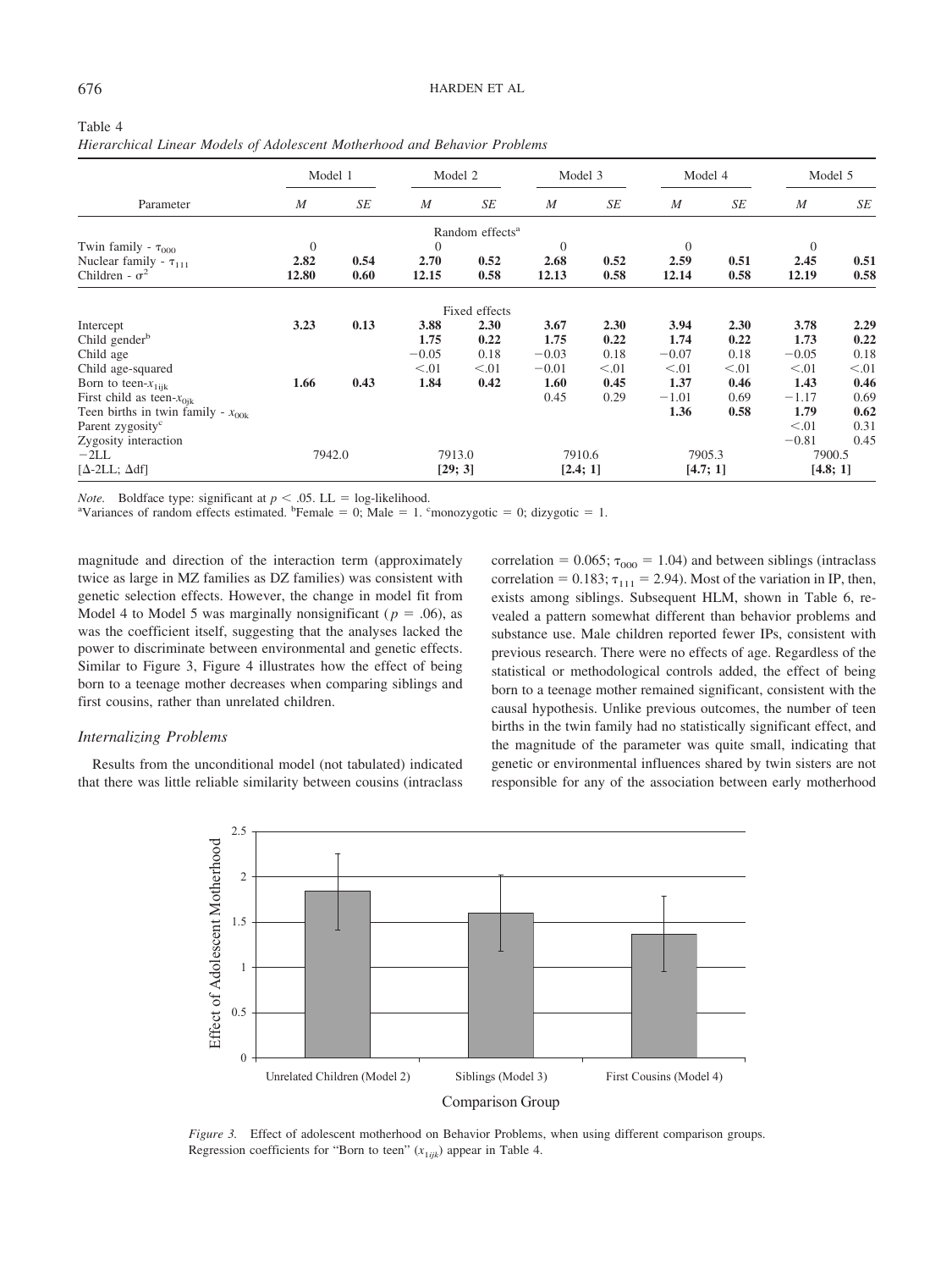|                                        | Model 1          |      | Model 2  |                             | Model 3          |        | Model 4          |        | Model 5          |        |
|----------------------------------------|------------------|------|----------|-----------------------------|------------------|--------|------------------|--------|------------------|--------|
| Parameter                              | $\boldsymbol{M}$ | SE   | M        | SE                          | $\boldsymbol{M}$ | SE     | $\boldsymbol{M}$ | SE     | $\boldsymbol{M}$ | SE     |
|                                        |                  |      |          | Random effects <sup>a</sup> |                  |        |                  |        |                  |        |
| Twin family - $\tau_{000}$             | $\overline{0}$   |      | $\theta$ |                             | $\mathbf{0}$     |        | $\mathbf{0}$     |        | $\theta$         |        |
| Nuclear family - $\tau_{111}$          | 2.82             | 0.54 | 2.70     | 0.52                        | 2.68             | 0.52   | 2.59             | 0.51   | 2.45             | 0.51   |
| Children - $\sigma^2$                  | 12.80            | 0.60 | 12.15    | 0.58                        | 12.13            | 0.58   | 12.14            | 0.58   | 12.19            | 0.58   |
|                                        |                  |      |          | Fixed effects               |                  |        |                  |        |                  |        |
| Intercept                              | 3.23             | 0.13 | 3.88     | 2.30                        | 3.67             | 2.30   | 3.94             | 2.30   | 3.78             | 2.29   |
| Child gender <sup>b</sup>              |                  |      | 1.75     | 0.22                        | 1.75             | 0.22   | 1.74             | 0.22   | 1.73             | 0.22   |
| Child age                              |                  |      | $-0.05$  | 0.18                        | $-0.03$          | 0.18   | $-0.07$          | 0.18   | $-0.05$          | 0.18   |
| Child age-squared                      |                  |      | < 0.01   | < 0.01                      | $-0.01$          | < 0.01 | < 0.01           | < 0.01 | < 0.01           | < 0.01 |
| Born to teen- $x_{1ijk}$               | 1.66             | 0.43 | 1.84     | 0.42                        | 1.60             | 0.45   | 1.37             | 0.46   | 1.43             | 0.46   |
| First child as teen- $x_{0ik}$         |                  |      |          |                             | 0.45             | 0.29   | $-1.01$          | 0.69   | $-1.17$          | 0.69   |
| Teen births in twin family - $x_{00k}$ |                  |      |          |                             |                  |        | 1.36             | 0.58   | 1.79             | 0.62   |
| Parent zygosity <sup>c</sup>           |                  |      |          |                             |                  |        |                  |        | < 0.01           | 0.31   |
| Zygosity interaction                   |                  |      |          |                             |                  |        |                  |        | $-0.81$          | 0.45   |
| $-2LL$                                 | 7942.0           |      | 7913.0   |                             | 7910.6           |        | 7905.3           |        | 7900.5           |        |
| [ $\Delta$ -2LL; $\Delta$ df]          |                  |      | [29; 3]  |                             | [2.4; 1]         |        | [4.7; 1]         |        | [4.8; 1]         |        |

| Table 4                                                                   |  |  |  |  |  |
|---------------------------------------------------------------------------|--|--|--|--|--|
| Hierarchical Linear Models of Adolescent Motherhood and Behavior Problems |  |  |  |  |  |

*Note.* Boldface type: significant at  $p < .05$ . LL = log-likelihood.

Variances of random effects estimated. <sup>b</sup>Female = 0; Male = 1. cmonozygotic = 0; dizygotic = 1.

magnitude and direction of the interaction term (approximately twice as large in MZ families as DZ families) was consistent with genetic selection effects. However, the change in model fit from Model 4 to Model 5 was marginally nonsignificant ( $p = .06$ ), as was the coefficient itself, suggesting that the analyses lacked the power to discriminate between environmental and genetic effects. Similar to Figure 3, Figure 4 illustrates how the effect of being born to a teenage mother decreases when comparing siblings and first cousins, rather than unrelated children.

#### *Internalizing Problems*

Results from the unconditional model (not tabulated) indicated that there was little reliable similarity between cousins (intraclass correlation = 0.065;  $\tau_{000}$  = 1.04) and between siblings (intraclass correlation = 0.183;  $\tau_{111}$  = 2.94). Most of the variation in IP, then, exists among siblings. Subsequent HLM, shown in Table 6, revealed a pattern somewhat different than behavior problems and substance use. Male children reported fewer IPs, consistent with previous research. There were no effects of age. Regardless of the statistical or methodological controls added, the effect of being born to a teenage mother remained significant, consistent with the causal hypothesis. Unlike previous outcomes, the number of teen births in the twin family had no statistically significant effect, and the magnitude of the parameter was quite small, indicating that genetic or environmental influences shared by twin sisters are not responsible for any of the association between early motherhood



*Figure 3.* Effect of adolescent motherhood on Behavior Problems, when using different comparison groups. Regression coefficients for "Born to teen"  $(x_{1ijk})$  appear in Table 4.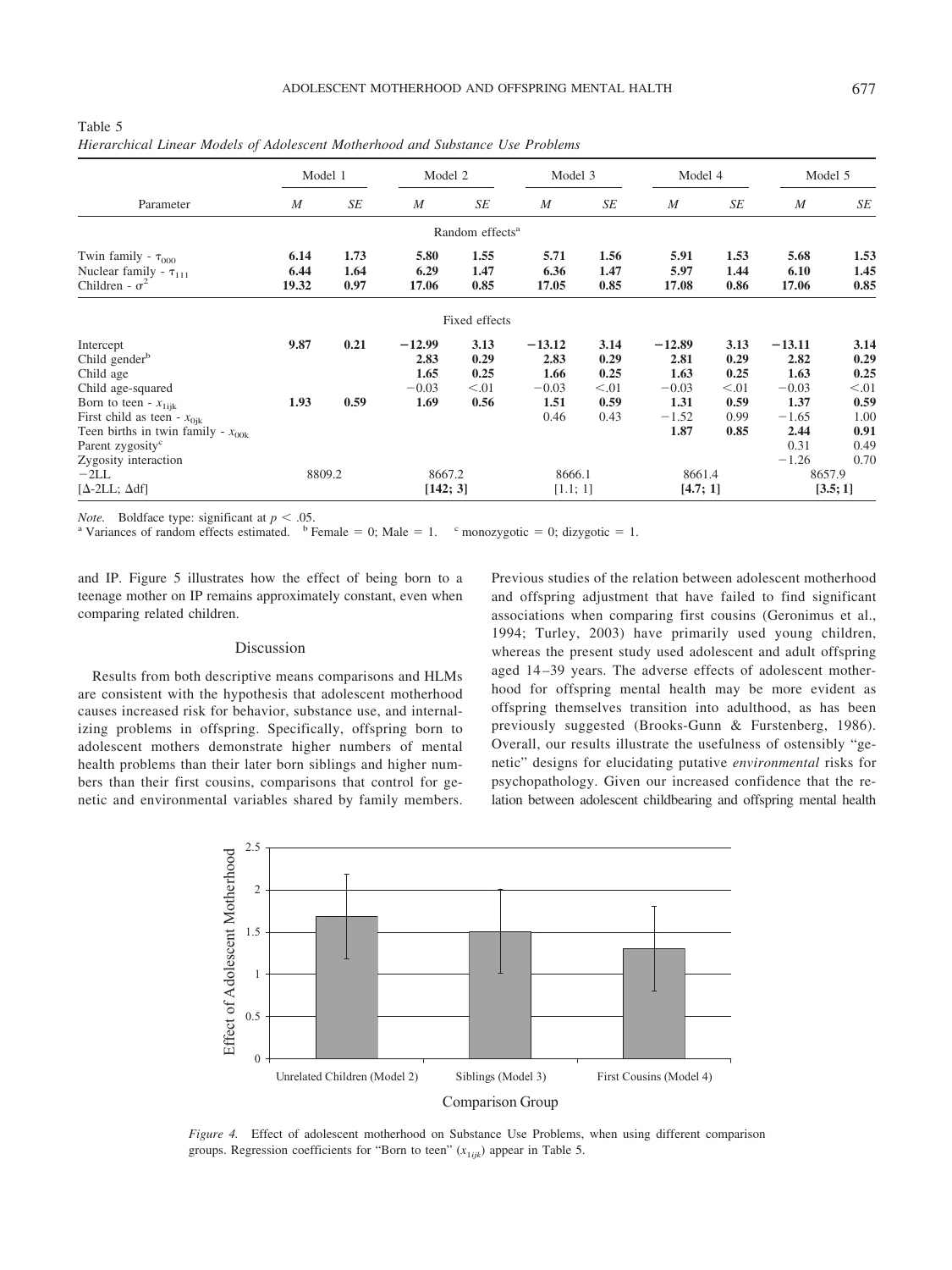| Table 5                                                                        |  |
|--------------------------------------------------------------------------------|--|
| Hierarchical Linear Models of Adolescent Motherhood and Substance Use Problems |  |

|                                                                                                                                          | Model 1               |                      | Model 2                                     |                                        |                                                     | Model 3                                        |                                                        | Model 4                                        |                                                        | Model 5                                        |
|------------------------------------------------------------------------------------------------------------------------------------------|-----------------------|----------------------|---------------------------------------------|----------------------------------------|-----------------------------------------------------|------------------------------------------------|--------------------------------------------------------|------------------------------------------------|--------------------------------------------------------|------------------------------------------------|
| Parameter                                                                                                                                | $\boldsymbol{M}$      | SE                   | $\boldsymbol{M}$                            | SE                                     | $\boldsymbol{M}$                                    | SE                                             | $\boldsymbol{M}$                                       | SE                                             | $\boldsymbol{M}$                                       | SE                                             |
|                                                                                                                                          |                       |                      |                                             | Random effects <sup>a</sup>            |                                                     |                                                |                                                        |                                                |                                                        |                                                |
| Twin family - $\tau_{000}$<br>Nuclear family - $\tau_{111}$<br>Children - $\sigma^2$                                                     | 6.14<br>6.44<br>19.32 | 1.73<br>1.64<br>0.97 | 5.80<br>6.29<br>17.06                       | 1.55<br>1.47<br>0.85                   | 5.71<br>6.36<br>17.05                               | 1.56<br>1.47<br>0.85                           | 5.91<br>5.97<br>17.08                                  | 1.53<br>1.44<br>0.86                           | 5.68<br>6.10<br>17.06                                  | 1.53<br>1.45<br>0.85                           |
|                                                                                                                                          |                       |                      |                                             | Fixed effects                          |                                                     |                                                |                                                        |                                                |                                                        |                                                |
| Intercept<br>Child gender <sup>b</sup><br>Child age<br>Child age-squared<br>Born to teen - $x_{1ijk}$<br>First child as teen - $x_{0ik}$ | 9.87<br>1.93          | 0.21<br>0.59         | $-12.99$<br>2.83<br>1.65<br>$-0.03$<br>1.69 | 3.13<br>0.29<br>0.25<br>< 0.01<br>0.56 | $-13.12$<br>2.83<br>1.66<br>$-0.03$<br>1.51<br>0.46 | 3.14<br>0.29<br>0.25<br>< 0.01<br>0.59<br>0.43 | $-12.89$<br>2.81<br>1.63<br>$-0.03$<br>1.31<br>$-1.52$ | 3.13<br>0.29<br>0.25<br>< 0.01<br>0.59<br>0.99 | $-13.11$<br>2.82<br>1.63<br>$-0.03$<br>1.37<br>$-1.65$ | 3.14<br>0.29<br>0.25<br>< 0.01<br>0.59<br>1.00 |
| Teen births in twin family - $x_{00k}$<br>Parent zygosity <sup>c</sup><br>Zygosity interaction<br>$-2LL$<br>$[\Delta-2LL;\Delta df]$     | 8809.2                |                      | 8667.2<br>[142; 3]                          |                                        | 8666.1<br>[1.1; 1]                                  |                                                | 1.87<br>8661.4<br>[4.7; 1]                             | 0.85                                           | 2.44<br>0.31<br>$-1.26$<br>8657.9                      | 0.91<br>0.49<br>0.70<br>[3.5;1]                |

*Note.* Boldface type: significant at  $p < .05$ .<br><sup>a</sup> Variances of random effects estimated. <sup>b</sup> Female = 0; Male = 1. <sup>c</sup> monozygotic = 0; dizygotic = 1.

and IP. Figure 5 illustrates how the effect of being born to a teenage mother on IP remains approximately constant, even when comparing related children.

#### Discussion

Results from both descriptive means comparisons and HLMs are consistent with the hypothesis that adolescent motherhood causes increased risk for behavior, substance use, and internalizing problems in offspring. Specifically, offspring born to adolescent mothers demonstrate higher numbers of mental health problems than their later born siblings and higher numbers than their first cousins, comparisons that control for genetic and environmental variables shared by family members.

Previous studies of the relation between adolescent motherhood and offspring adjustment that have failed to find significant associations when comparing first cousins (Geronimus et al., 1994; Turley, 2003) have primarily used young children, whereas the present study used adolescent and adult offspring aged 14 –39 years. The adverse effects of adolescent motherhood for offspring mental health may be more evident as offspring themselves transition into adulthood, as has been previously suggested (Brooks-Gunn & Furstenberg, 1986). Overall, our results illustrate the usefulness of ostensibly "genetic" designs for elucidating putative *environmental* risks for psychopathology. Given our increased confidence that the relation between adolescent childbearing and offspring mental health



*Figure 4.* Effect of adolescent motherhood on Substance Use Problems, when using different comparison groups. Regression coefficients for "Born to teen"  $(x_{1ijk})$  appear in Table 5.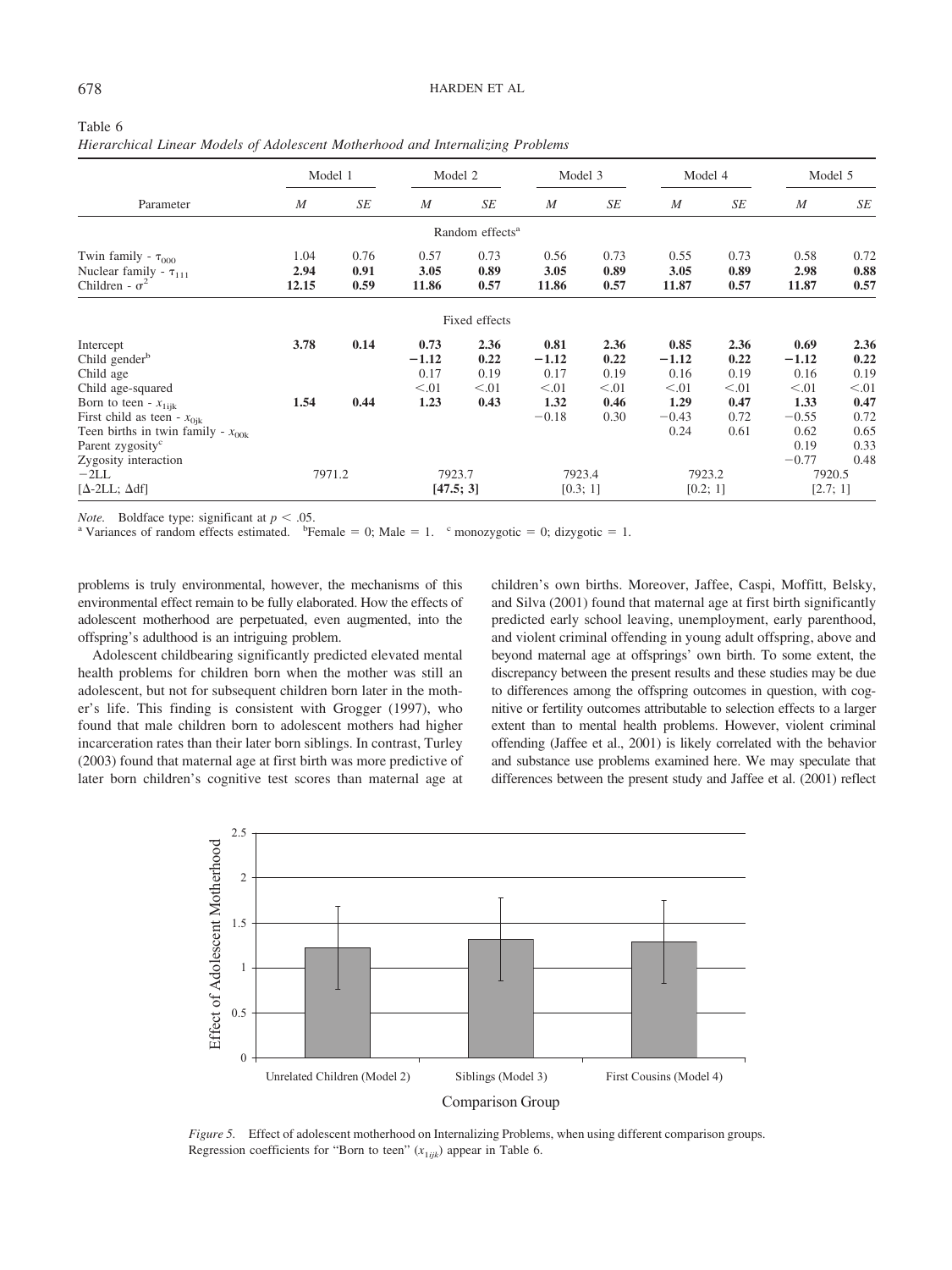| Table 6<br>Hierarchical Linear Models of Adolescent Motherhood and Internalizing Problems |              |              |              |                             |              |              |              |              |              |            |
|-------------------------------------------------------------------------------------------|--------------|--------------|--------------|-----------------------------|--------------|--------------|--------------|--------------|--------------|------------|
|                                                                                           | Model 1      |              |              | Model 2                     |              | Model 3      |              | Model 4      |              | Model 5    |
| Parameter                                                                                 | M            | SЕ           | M            | SЕ                          | M            | SE           | M            | SЕ           | M            | SE         |
|                                                                                           |              |              |              | Random effects <sup>a</sup> |              |              |              |              |              |            |
| Twin family - $\tau_{000}$<br>Nuclear family - $\tau_{111}$                               | 1.04<br>2.94 | 0.76<br>0.91 | 0.57<br>3.05 | 0.73<br>0.89                | 0.56<br>3.05 | 0.73<br>0.89 | 0.55<br>3.05 | 0.73<br>0.89 | 0.58<br>2.98 | 0.7<br>0.8 |

| Table 6 |  |                                                                                |  |  |
|---------|--|--------------------------------------------------------------------------------|--|--|
|         |  | Hierarchical Linear Models of Adolescent Motherhood and Internalizing Problems |  |  |

| Parameter                                                                            | IИ                    | ЭE                   | IИ                    | ЭE                          | IИ                    | ЭE                   | IИ                    | JЕ                   | IИ                    | ОE                   |
|--------------------------------------------------------------------------------------|-----------------------|----------------------|-----------------------|-----------------------------|-----------------------|----------------------|-----------------------|----------------------|-----------------------|----------------------|
|                                                                                      |                       |                      |                       | Random effects <sup>a</sup> |                       |                      |                       |                      |                       |                      |
| Twin family - $\tau_{000}$<br>Nuclear family - $\tau_{111}$<br>Children - $\sigma^2$ | 1.04<br>2.94<br>12.15 | 0.76<br>0.91<br>0.59 | 0.57<br>3.05<br>11.86 | 0.73<br>0.89<br>0.57        | 0.56<br>3.05<br>11.86 | 0.73<br>0.89<br>0.57 | 0.55<br>3.05<br>11.87 | 0.73<br>0.89<br>0.57 | 0.58<br>2.98<br>11.87 | 0.72<br>0.88<br>0.57 |
|                                                                                      |                       |                      |                       | Fixed effects               |                       |                      |                       |                      |                       |                      |
| Intercept                                                                            | 3.78                  | 0.14                 | 0.73                  | 2.36                        | 0.81                  | 2.36                 | 0.85                  | 2.36                 | 0.69                  | 2.36                 |
| Child gender <sup>b</sup>                                                            |                       |                      | $-1.12$               | 0.22                        | $-1.12$               | 0.22                 | $-1.12$               | 0.22                 | $-1.12$               | 0.22                 |
| Child age<br>Child age-squared                                                       |                       |                      | 0.17<br>< 0.01        | 0.19<br>< 0.01              | 0.17<br>< 0.01        | 0.19<br>< 0.01       | 0.16<br>< 0.01        | 0.19<br>< 0.01       | 0.16<br>< 0.01        | 0.19<br>< 0.01       |
| Born to teen - $x_{1ijk}$                                                            | 1.54                  | 0.44                 | 1.23                  | 0.43                        | 1.32                  | 0.46                 | 1.29                  | 0.47                 | 1.33                  | 0.47                 |
| First child as teen - $x_{0ik}$                                                      |                       |                      |                       |                             | $-0.18$               | 0.30                 | $-0.43$<br>0.24       | 0.72<br>0.61         | $-0.55$<br>0.62       | 0.72<br>0.65         |
| Teen births in twin family - $x_{00k}$<br>Parent zygosity <sup>c</sup>               |                       |                      |                       |                             |                       |                      |                       |                      | 0.19<br>$-0.77$       | 0.33<br>0.48         |
| Zygosity interaction<br>$-2LL$<br>$[\Delta - 2LL; \Delta df]$                        | 7971.2                |                      | 7923.7<br>[47.5; 3]   |                             | 7923.4<br>[0.3; 1]    |                      | 7923.2<br>[0.2; 1]    |                      | 7920.5<br>[2.7; 1]    |                      |
|                                                                                      |                       |                      |                       |                             |                       |                      |                       |                      |                       |                      |

*Note.* Boldface type: significant at  $p < .05$ .<br><sup>a</sup> Variances of random effects estimated. <sup>b</sup>Female = 0; Male = 1. <sup>c</sup> monozygotic = 0; dizygotic = 1.

problems is truly environmental, however, the mechanisms of this environmental effect remain to be fully elaborated. How the effects of adolescent motherhood are perpetuated, even augmented, into the offspring's adulthood is an intriguing problem.

Adolescent childbearing significantly predicted elevated mental health problems for children born when the mother was still an adolescent, but not for subsequent children born later in the mother's life. This finding is consistent with Grogger (1997), who found that male children born to adolescent mothers had higher incarceration rates than their later born siblings. In contrast, Turley (2003) found that maternal age at first birth was more predictive of later born children's cognitive test scores than maternal age at children's own births. Moreover, Jaffee, Caspi, Moffitt, Belsky, and Silva (2001) found that maternal age at first birth significantly predicted early school leaving, unemployment, early parenthood, and violent criminal offending in young adult offspring, above and beyond maternal age at offsprings' own birth. To some extent, the discrepancy between the present results and these studies may be due to differences among the offspring outcomes in question, with cognitive or fertility outcomes attributable to selection effects to a larger extent than to mental health problems. However, violent criminal offending (Jaffee et al., 2001) is likely correlated with the behavior and substance use problems examined here. We may speculate that differences between the present study and Jaffee et al. (2001) reflect



*Figure 5.* Effect of adolescent motherhood on Internalizing Problems, when using different comparison groups. Regression coefficients for "Born to teen"  $(x_{1ijk})$  appear in Table 6.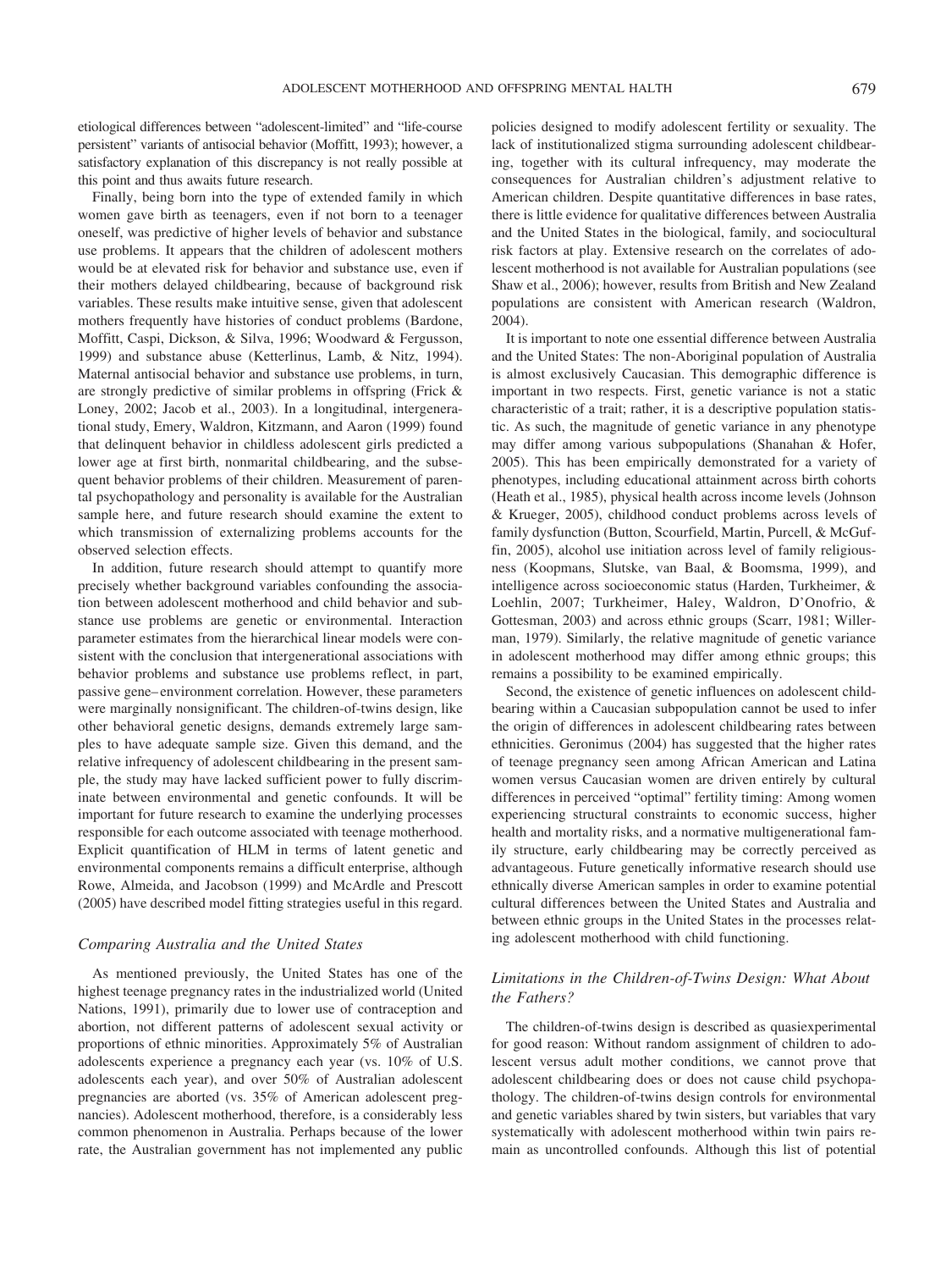etiological differences between "adolescent-limited" and "life-course persistent" variants of antisocial behavior (Moffitt, 1993); however, a satisfactory explanation of this discrepancy is not really possible at this point and thus awaits future research.

Finally, being born into the type of extended family in which women gave birth as teenagers, even if not born to a teenager oneself, was predictive of higher levels of behavior and substance use problems. It appears that the children of adolescent mothers would be at elevated risk for behavior and substance use, even if their mothers delayed childbearing, because of background risk variables. These results make intuitive sense, given that adolescent mothers frequently have histories of conduct problems (Bardone, Moffitt, Caspi, Dickson, & Silva, 1996; Woodward & Fergusson, 1999) and substance abuse (Ketterlinus, Lamb, & Nitz, 1994). Maternal antisocial behavior and substance use problems, in turn, are strongly predictive of similar problems in offspring (Frick & Loney, 2002; Jacob et al., 2003). In a longitudinal, intergenerational study, Emery, Waldron, Kitzmann, and Aaron (1999) found that delinquent behavior in childless adolescent girls predicted a lower age at first birth, nonmarital childbearing, and the subsequent behavior problems of their children. Measurement of parental psychopathology and personality is available for the Australian sample here, and future research should examine the extent to which transmission of externalizing problems accounts for the observed selection effects.

In addition, future research should attempt to quantify more precisely whether background variables confounding the association between adolescent motherhood and child behavior and substance use problems are genetic or environmental. Interaction parameter estimates from the hierarchical linear models were consistent with the conclusion that intergenerational associations with behavior problems and substance use problems reflect, in part, passive gene– environment correlation. However, these parameters were marginally nonsignificant. The children-of-twins design, like other behavioral genetic designs, demands extremely large samples to have adequate sample size. Given this demand, and the relative infrequency of adolescent childbearing in the present sample, the study may have lacked sufficient power to fully discriminate between environmental and genetic confounds. It will be important for future research to examine the underlying processes responsible for each outcome associated with teenage motherhood. Explicit quantification of HLM in terms of latent genetic and environmental components remains a difficult enterprise, although Rowe, Almeida, and Jacobson (1999) and McArdle and Prescott (2005) have described model fitting strategies useful in this regard.

### *Comparing Australia and the United States*

As mentioned previously, the United States has one of the highest teenage pregnancy rates in the industrialized world (United Nations, 1991), primarily due to lower use of contraception and abortion, not different patterns of adolescent sexual activity or proportions of ethnic minorities. Approximately 5% of Australian adolescents experience a pregnancy each year (vs. 10% of U.S. adolescents each year), and over 50% of Australian adolescent pregnancies are aborted (vs. 35% of American adolescent pregnancies). Adolescent motherhood, therefore, is a considerably less common phenomenon in Australia. Perhaps because of the lower rate, the Australian government has not implemented any public policies designed to modify adolescent fertility or sexuality. The lack of institutionalized stigma surrounding adolescent childbearing, together with its cultural infrequency, may moderate the consequences for Australian children's adjustment relative to American children. Despite quantitative differences in base rates, there is little evidence for qualitative differences between Australia and the United States in the biological, family, and sociocultural risk factors at play. Extensive research on the correlates of adolescent motherhood is not available for Australian populations (see Shaw et al., 2006); however, results from British and New Zealand populations are consistent with American research (Waldron, 2004).

It is important to note one essential difference between Australia and the United States: The non-Aboriginal population of Australia is almost exclusively Caucasian. This demographic difference is important in two respects. First, genetic variance is not a static characteristic of a trait; rather, it is a descriptive population statistic. As such, the magnitude of genetic variance in any phenotype may differ among various subpopulations (Shanahan & Hofer, 2005). This has been empirically demonstrated for a variety of phenotypes, including educational attainment across birth cohorts (Heath et al., 1985), physical health across income levels (Johnson & Krueger, 2005), childhood conduct problems across levels of family dysfunction (Button, Scourfield, Martin, Purcell, & McGuffin, 2005), alcohol use initiation across level of family religiousness (Koopmans, Slutske, van Baal, & Boomsma, 1999), and intelligence across socioeconomic status (Harden, Turkheimer, & Loehlin, 2007; Turkheimer, Haley, Waldron, D'Onofrio, & Gottesman, 2003) and across ethnic groups (Scarr, 1981; Willerman, 1979). Similarly, the relative magnitude of genetic variance in adolescent motherhood may differ among ethnic groups; this remains a possibility to be examined empirically.

Second, the existence of genetic influences on adolescent childbearing within a Caucasian subpopulation cannot be used to infer the origin of differences in adolescent childbearing rates between ethnicities. Geronimus (2004) has suggested that the higher rates of teenage pregnancy seen among African American and Latina women versus Caucasian women are driven entirely by cultural differences in perceived "optimal" fertility timing: Among women experiencing structural constraints to economic success, higher health and mortality risks, and a normative multigenerational family structure, early childbearing may be correctly perceived as advantageous. Future genetically informative research should use ethnically diverse American samples in order to examine potential cultural differences between the United States and Australia and between ethnic groups in the United States in the processes relating adolescent motherhood with child functioning.

## *Limitations in the Children-of-Twins Design: What About the Fathers?*

The children-of-twins design is described as quasiexperimental for good reason: Without random assignment of children to adolescent versus adult mother conditions, we cannot prove that adolescent childbearing does or does not cause child psychopathology. The children-of-twins design controls for environmental and genetic variables shared by twin sisters, but variables that vary systematically with adolescent motherhood within twin pairs remain as uncontrolled confounds. Although this list of potential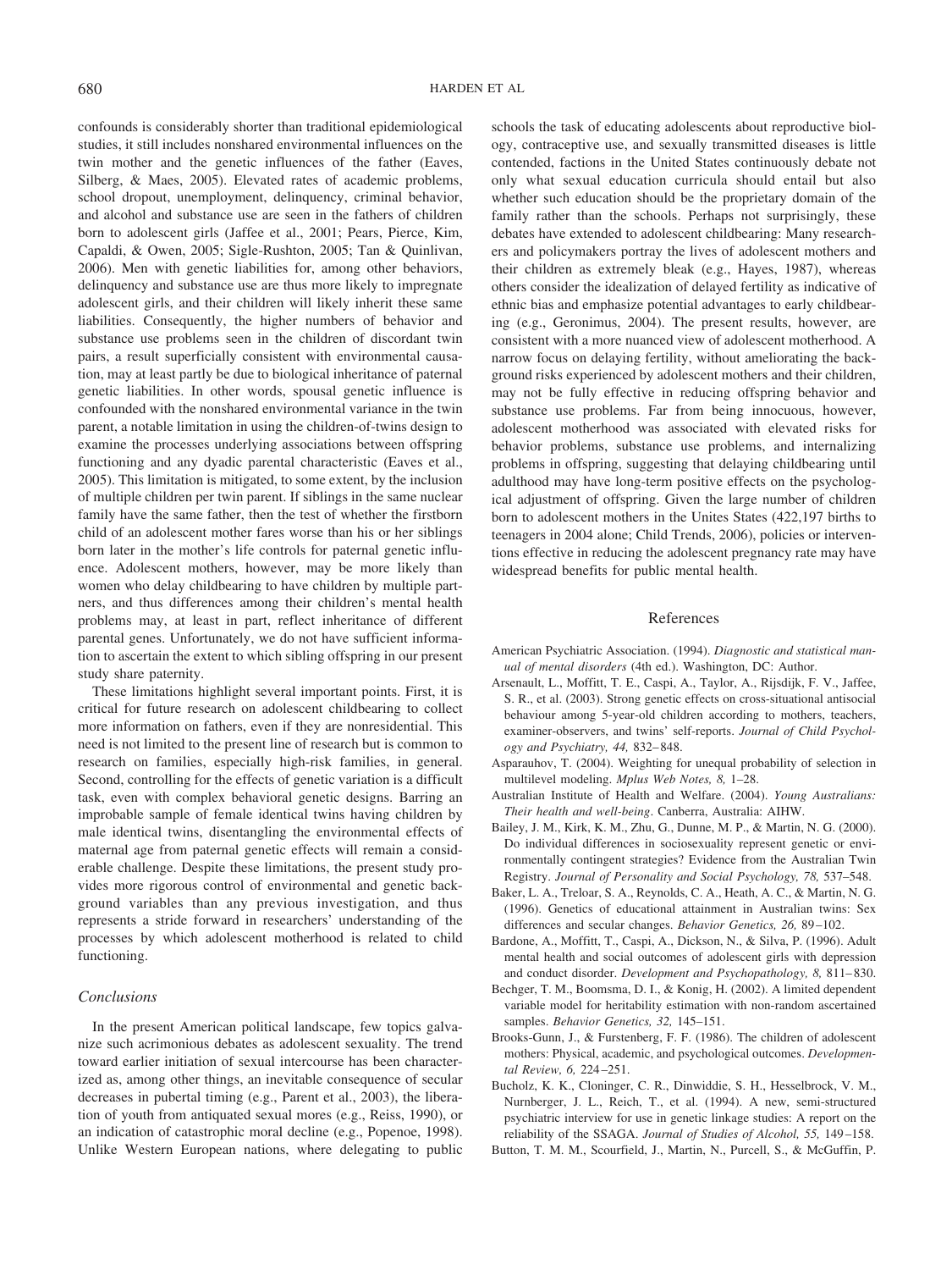confounds is considerably shorter than traditional epidemiological studies, it still includes nonshared environmental influences on the twin mother and the genetic influences of the father (Eaves, Silberg, & Maes, 2005). Elevated rates of academic problems, school dropout, unemployment, delinquency, criminal behavior, and alcohol and substance use are seen in the fathers of children born to adolescent girls (Jaffee et al., 2001; Pears, Pierce, Kim, Capaldi, & Owen, 2005; Sigle-Rushton, 2005; Tan & Quinlivan, 2006). Men with genetic liabilities for, among other behaviors, delinquency and substance use are thus more likely to impregnate adolescent girls, and their children will likely inherit these same liabilities. Consequently, the higher numbers of behavior and substance use problems seen in the children of discordant twin pairs, a result superficially consistent with environmental causation, may at least partly be due to biological inheritance of paternal genetic liabilities. In other words, spousal genetic influence is confounded with the nonshared environmental variance in the twin parent, a notable limitation in using the children-of-twins design to examine the processes underlying associations between offspring functioning and any dyadic parental characteristic (Eaves et al., 2005). This limitation is mitigated, to some extent, by the inclusion of multiple children per twin parent. If siblings in the same nuclear family have the same father, then the test of whether the firstborn child of an adolescent mother fares worse than his or her siblings born later in the mother's life controls for paternal genetic influence. Adolescent mothers, however, may be more likely than women who delay childbearing to have children by multiple partners, and thus differences among their children's mental health problems may, at least in part, reflect inheritance of different parental genes. Unfortunately, we do not have sufficient information to ascertain the extent to which sibling offspring in our present study share paternity.

These limitations highlight several important points. First, it is critical for future research on adolescent childbearing to collect more information on fathers, even if they are nonresidential. This need is not limited to the present line of research but is common to research on families, especially high-risk families, in general. Second, controlling for the effects of genetic variation is a difficult task, even with complex behavioral genetic designs. Barring an improbable sample of female identical twins having children by male identical twins, disentangling the environmental effects of maternal age from paternal genetic effects will remain a considerable challenge. Despite these limitations, the present study provides more rigorous control of environmental and genetic background variables than any previous investigation, and thus represents a stride forward in researchers' understanding of the processes by which adolescent motherhood is related to child functioning.

## *Conclusions*

In the present American political landscape, few topics galvanize such acrimonious debates as adolescent sexuality. The trend toward earlier initiation of sexual intercourse has been characterized as, among other things, an inevitable consequence of secular decreases in pubertal timing (e.g., Parent et al., 2003), the liberation of youth from antiquated sexual mores (e.g., Reiss, 1990), or an indication of catastrophic moral decline (e.g., Popenoe, 1998). Unlike Western European nations, where delegating to public schools the task of educating adolescents about reproductive biology, contraceptive use, and sexually transmitted diseases is little contended, factions in the United States continuously debate not only what sexual education curricula should entail but also whether such education should be the proprietary domain of the family rather than the schools. Perhaps not surprisingly, these debates have extended to adolescent childbearing: Many researchers and policymakers portray the lives of adolescent mothers and their children as extremely bleak (e.g., Hayes, 1987), whereas others consider the idealization of delayed fertility as indicative of ethnic bias and emphasize potential advantages to early childbearing (e.g., Geronimus, 2004). The present results, however, are consistent with a more nuanced view of adolescent motherhood. A narrow focus on delaying fertility, without ameliorating the background risks experienced by adolescent mothers and their children, may not be fully effective in reducing offspring behavior and substance use problems. Far from being innocuous, however, adolescent motherhood was associated with elevated risks for behavior problems, substance use problems, and internalizing problems in offspring, suggesting that delaying childbearing until adulthood may have long-term positive effects on the psychological adjustment of offspring. Given the large number of children born to adolescent mothers in the Unites States (422,197 births to teenagers in 2004 alone; Child Trends, 2006), policies or interventions effective in reducing the adolescent pregnancy rate may have widespread benefits for public mental health.

#### References

- American Psychiatric Association. (1994). *Diagnostic and statistical manual of mental disorders* (4th ed.). Washington, DC: Author.
- Arsenault, L., Moffitt, T. E., Caspi, A., Taylor, A., Rijsdijk, F. V., Jaffee, S. R., et al. (2003). Strong genetic effects on cross-situational antisocial behaviour among 5-year-old children according to mothers, teachers, examiner-observers, and twins' self-reports. *Journal of Child Psychology and Psychiatry, 44,* 832– 848.
- Asparauhov, T. (2004). Weighting for unequal probability of selection in multilevel modeling. *Mplus Web Notes, 8,* 1–28.
- Australian Institute of Health and Welfare. (2004). *Young Australians: Their health and well-being*. Canberra, Australia: AIHW.
- Bailey, J. M., Kirk, K. M., Zhu, G., Dunne, M. P., & Martin, N. G. (2000). Do individual differences in sociosexuality represent genetic or environmentally contingent strategies? Evidence from the Australian Twin Registry. *Journal of Personality and Social Psychology, 78,* 537–548.
- Baker, L. A., Treloar, S. A., Reynolds, C. A., Heath, A. C., & Martin, N. G. (1996). Genetics of educational attainment in Australian twins: Sex differences and secular changes. *Behavior Genetics, 26,* 89 –102.
- Bardone, A., Moffitt, T., Caspi, A., Dickson, N., & Silva, P. (1996). Adult mental health and social outcomes of adolescent girls with depression and conduct disorder. *Development and Psychopathology, 8,* 811– 830.
- Bechger, T. M., Boomsma, D. I., & Konig, H. (2002). A limited dependent variable model for heritability estimation with non-random ascertained samples. *Behavior Genetics, 32,* 145–151.
- Brooks-Gunn, J., & Furstenberg, F. F. (1986). The children of adolescent mothers: Physical, academic, and psychological outcomes. *Developmental Review, 6,* 224 –251.
- Bucholz, K. K., Cloninger, C. R., Dinwiddie, S. H., Hesselbrock, V. M., Nurnberger, J. L., Reich, T., et al. (1994). A new, semi-structured psychiatric interview for use in genetic linkage studies: A report on the reliability of the SSAGA. *Journal of Studies of Alcohol, 55,* 149 –158.
- Button, T. M. M., Scourfield, J., Martin, N., Purcell, S., & McGuffin, P.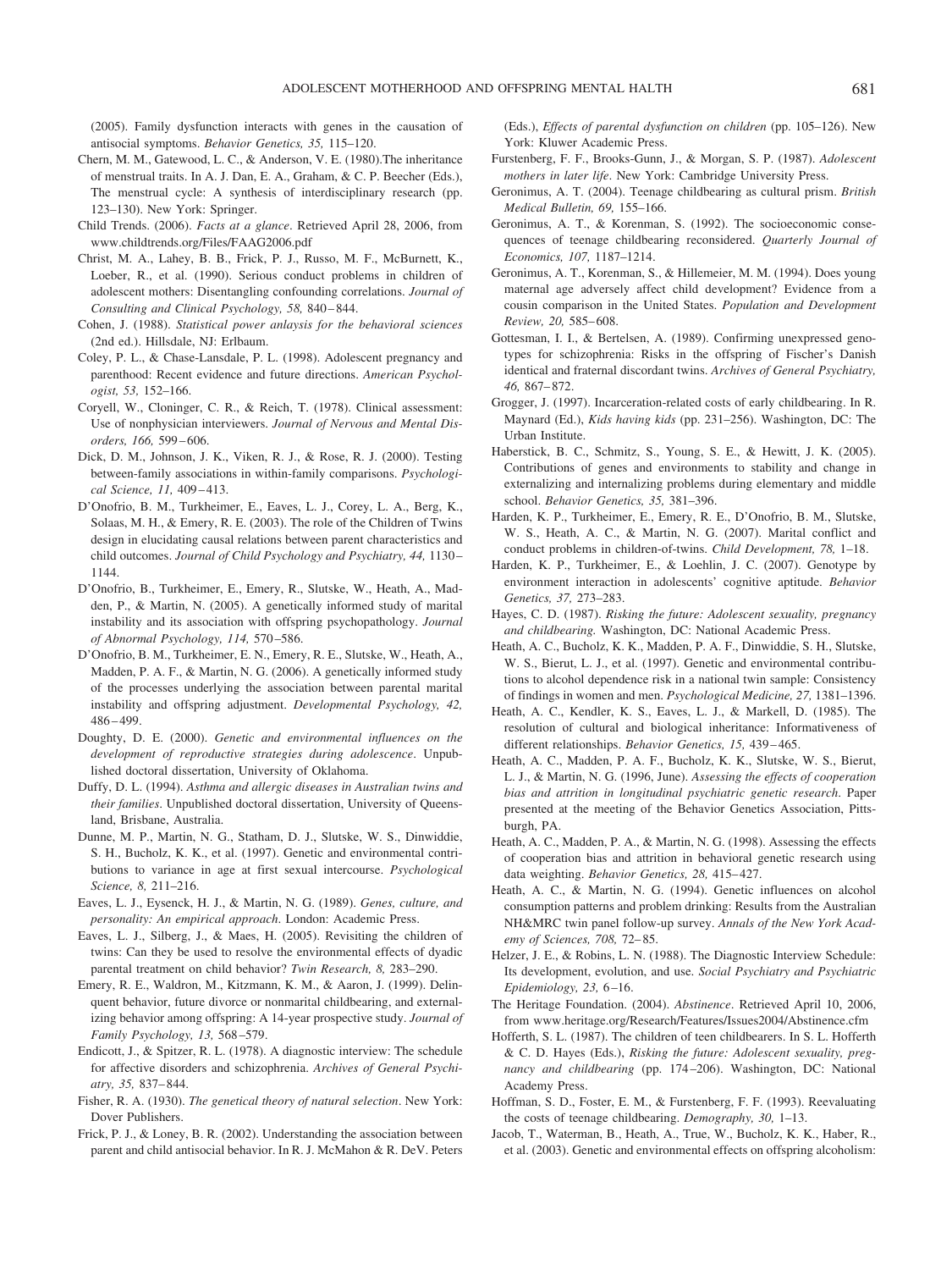(2005). Family dysfunction interacts with genes in the causation of antisocial symptoms. *Behavior Genetics, 35,* 115–120.

- Chern, M. M., Gatewood, L. C., & Anderson, V. E. (1980).The inheritance of menstrual traits. In A. J. Dan, E. A., Graham, & C. P. Beecher (Eds.), The menstrual cycle: A synthesis of interdisciplinary research (pp. 123–130). New York: Springer.
- Child Trends. (2006). *Facts at a glance*. Retrieved April 28, 2006, from www.childtrends.org/Files/FAAG2006.pdf
- Christ, M. A., Lahey, B. B., Frick, P. J., Russo, M. F., McBurnett, K., Loeber, R., et al. (1990). Serious conduct problems in children of adolescent mothers: Disentangling confounding correlations. *Journal of Consulting and Clinical Psychology, 58,* 840 – 844.
- Cohen, J. (1988). *Statistical power anlaysis for the behavioral sciences* (2nd ed.). Hillsdale, NJ: Erlbaum.
- Coley, P. L., & Chase-Lansdale, P. L. (1998). Adolescent pregnancy and parenthood: Recent evidence and future directions. *American Psychologist, 53,* 152–166.
- Coryell, W., Cloninger, C. R., & Reich, T. (1978). Clinical assessment: Use of nonphysician interviewers. *Journal of Nervous and Mental Disorders, 166,* 599 – 606.
- Dick, D. M., Johnson, J. K., Viken, R. J., & Rose, R. J. (2000). Testing between-family associations in within-family comparisons. *Psychological Science, 11,* 409 – 413.
- D'Onofrio, B. M., Turkheimer, E., Eaves, L. J., Corey, L. A., Berg, K., Solaas, M. H., & Emery, R. E. (2003). The role of the Children of Twins design in elucidating causal relations between parent characteristics and child outcomes. *Journal of Child Psychology and Psychiatry, 44,* 1130 – 1144.
- D'Onofrio, B., Turkheimer, E., Emery, R., Slutske, W., Heath, A., Madden, P., & Martin, N. (2005). A genetically informed study of marital instability and its association with offspring psychopathology. *Journal of Abnormal Psychology, 114,* 570 –586.
- D'Onofrio, B. M., Turkheimer, E. N., Emery, R. E., Slutske, W., Heath, A., Madden, P. A. F., & Martin, N. G. (2006). A genetically informed study of the processes underlying the association between parental marital instability and offspring adjustment. *Developmental Psychology, 42,* 486 – 499.
- Doughty, D. E. (2000). *Genetic and environmental influences on the development of reproductive strategies during adolescence*. Unpublished doctoral dissertation, University of Oklahoma.
- Duffy, D. L. (1994). *Asthma and allergic diseases in Australian twins and their families*. Unpublished doctoral dissertation, University of Queensland, Brisbane, Australia.
- Dunne, M. P., Martin, N. G., Statham, D. J., Slutske, W. S., Dinwiddie, S. H., Bucholz, K. K., et al. (1997). Genetic and environmental contributions to variance in age at first sexual intercourse. *Psychological Science, 8,* 211–216.
- Eaves, L. J., Eysenck, H. J., & Martin, N. G. (1989). *Genes, culture, and personality: An empirical approach*. London: Academic Press.
- Eaves, L. J., Silberg, J., & Maes, H. (2005). Revisiting the children of twins: Can they be used to resolve the environmental effects of dyadic parental treatment on child behavior? *Twin Research, 8,* 283–290.
- Emery, R. E., Waldron, M., Kitzmann, K. M., & Aaron, J. (1999). Delinquent behavior, future divorce or nonmarital childbearing, and externalizing behavior among offspring: A 14-year prospective study. *Journal of Family Psychology, 13,* 568 –579.
- Endicott, J., & Spitzer, R. L. (1978). A diagnostic interview: The schedule for affective disorders and schizophrenia. *Archives of General Psychiatry, 35,* 837– 844.
- Fisher, R. A. (1930). *The genetical theory of natural selection*. New York: Dover Publishers.
- Frick, P. J., & Loney, B. R. (2002). Understanding the association between parent and child antisocial behavior. In R. J. McMahon & R. DeV. Peters

(Eds.), *Effects of parental dysfunction on children* (pp. 105–126). New York: Kluwer Academic Press.

- Furstenberg, F. F., Brooks-Gunn, J., & Morgan, S. P. (1987). *Adolescent mothers in later life*. New York: Cambridge University Press.
- Geronimus, A. T. (2004). Teenage childbearing as cultural prism. *British Medical Bulletin, 69,* 155–166.
- Geronimus, A. T., & Korenman, S. (1992). The socioeconomic consequences of teenage childbearing reconsidered. *Quarterly Journal of Economics, 107,* 1187–1214.
- Geronimus, A. T., Korenman, S., & Hillemeier, M. M. (1994). Does young maternal age adversely affect child development? Evidence from a cousin comparison in the United States. *Population and Development Review, 20,* 585– 608.
- Gottesman, I. I., & Bertelsen, A. (1989). Confirming unexpressed genotypes for schizophrenia: Risks in the offspring of Fischer's Danish identical and fraternal discordant twins. *Archives of General Psychiatry, 46,* 867– 872.
- Grogger, J. (1997). Incarceration-related costs of early childbearing. In R. Maynard (Ed.), *Kids having kids* (pp. 231–256). Washington, DC: The Urban Institute.
- Haberstick, B. C., Schmitz, S., Young, S. E., & Hewitt, J. K. (2005). Contributions of genes and environments to stability and change in externalizing and internalizing problems during elementary and middle school. *Behavior Genetics, 35,* 381–396.
- Harden, K. P., Turkheimer, E., Emery, R. E., D'Onofrio, B. M., Slutske, W. S., Heath, A. C., & Martin, N. G. (2007). Marital conflict and conduct problems in children-of-twins. *Child Development, 78,* 1–18.
- Harden, K. P., Turkheimer, E., & Loehlin, J. C. (2007). Genotype by environment interaction in adolescents' cognitive aptitude. *Behavior Genetics, 37,* 273–283.
- Hayes, C. D. (1987). *Risking the future: Adolescent sexuality, pregnancy and childbearing.* Washington, DC: National Academic Press.
- Heath, A. C., Bucholz, K. K., Madden, P. A. F., Dinwiddie, S. H., Slutske, W. S., Bierut, L. J., et al. (1997). Genetic and environmental contributions to alcohol dependence risk in a national twin sample: Consistency of findings in women and men. *Psychological Medicine, 27,* 1381–1396.
- Heath, A. C., Kendler, K. S., Eaves, L. J., & Markell, D. (1985). The resolution of cultural and biological inheritance: Informativeness of different relationships. *Behavior Genetics, 15,* 439 – 465.
- Heath, A. C., Madden, P. A. F., Bucholz, K. K., Slutske, W. S., Bierut, L. J., & Martin, N. G. (1996, June). *Assessing the effects of cooperation bias and attrition in longitudinal psychiatric genetic research*. Paper presented at the meeting of the Behavior Genetics Association, Pittsburgh, PA.
- Heath, A. C., Madden, P. A., & Martin, N. G. (1998). Assessing the effects of cooperation bias and attrition in behavioral genetic research using data weighting. *Behavior Genetics*, 28, 415-427.
- Heath, A. C., & Martin, N. G. (1994). Genetic influences on alcohol consumption patterns and problem drinking: Results from the Australian NH&MRC twin panel follow-up survey. *Annals of the New York Academy of Sciences, 708,* 72– 85.
- Helzer, J. E., & Robins, L. N. (1988). The Diagnostic Interview Schedule: Its development, evolution, and use. *Social Psychiatry and Psychiatric Epidemiology, 23,* 6 –16.
- The Heritage Foundation. (2004). *Abstinence*. Retrieved April 10, 2006, from www.heritage.org/Research/Features/Issues2004/Abstinence.cfm
- Hofferth, S. L. (1987). The children of teen childbearers. In S. L. Hofferth & C. D. Hayes (Eds.), *Risking the future: Adolescent sexuality, pregnancy and childbearing* (pp. 174 –206). Washington, DC: National Academy Press.
- Hoffman, S. D., Foster, E. M., & Furstenberg, F. F. (1993). Reevaluating the costs of teenage childbearing. *Demography, 30,* 1–13.
- Jacob, T., Waterman, B., Heath, A., True, W., Bucholz, K. K., Haber, R., et al. (2003). Genetic and environmental effects on offspring alcoholism: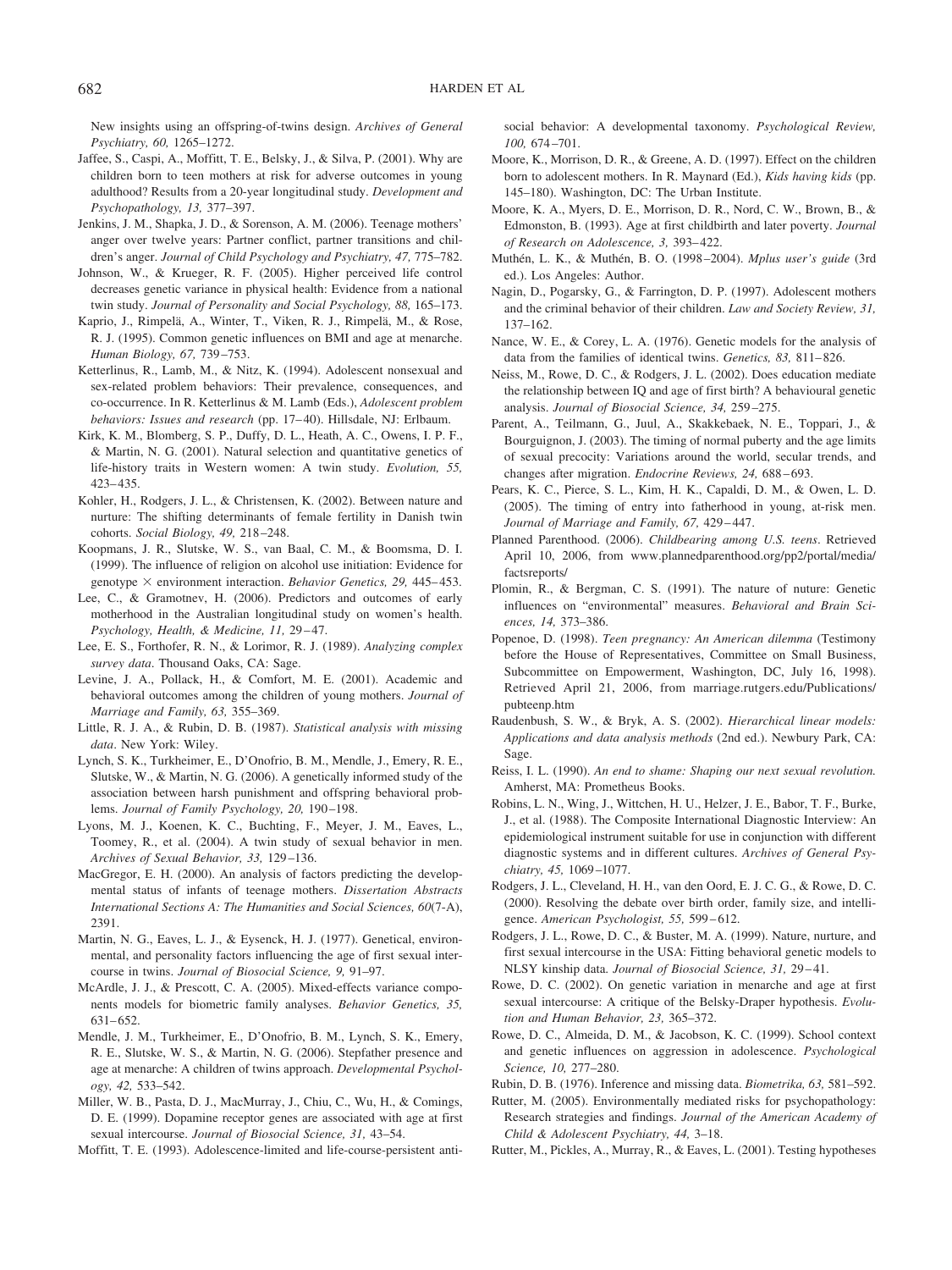New insights using an offspring-of-twins design. *Archives of General*

- *Psychiatry, 60,* 1265–1272. Jaffee, S., Caspi, A., Moffitt, T. E., Belsky, J., & Silva, P. (2001). Why are children born to teen mothers at risk for adverse outcomes in young adulthood? Results from a 20-year longitudinal study. *Development and Psychopathology, 13,* 377–397.
- Jenkins, J. M., Shapka, J. D., & Sorenson, A. M. (2006). Teenage mothers' anger over twelve years: Partner conflict, partner transitions and children's anger. *Journal of Child Psychology and Psychiatry, 47,* 775–782.
- Johnson, W., & Krueger, R. F. (2005). Higher perceived life control decreases genetic variance in physical health: Evidence from a national twin study. *Journal of Personality and Social Psychology, 88,* 165–173.
- Kaprio, J., Rimpelä, A., Winter, T., Viken, R. J., Rimpelä, M., & Rose, R. J. (1995). Common genetic influences on BMI and age at menarche. *Human Biology, 67,* 739 –753.
- Ketterlinus, R., Lamb, M., & Nitz, K. (1994). Adolescent nonsexual and sex-related problem behaviors: Their prevalence, consequences, and co-occurrence. In R. Ketterlinus & M. Lamb (Eds.), *Adolescent problem behaviors: Issues and research* (pp. 17–40). Hillsdale, NJ: Erlbaum.
- Kirk, K. M., Blomberg, S. P., Duffy, D. L., Heath, A. C., Owens, I. P. F., & Martin, N. G. (2001). Natural selection and quantitative genetics of life-history traits in Western women: A twin study. *Evolution, 55,* 423– 435.
- Kohler, H., Rodgers, J. L., & Christensen, K. (2002). Between nature and nurture: The shifting determinants of female fertility in Danish twin cohorts. *Social Biology, 49,* 218 –248.
- Koopmans, J. R., Slutske, W. S., van Baal, C. M., & Boomsma, D. I. (1999). The influence of religion on alcohol use initiation: Evidence for genotype  $\times$  environment interaction. *Behavior Genetics*, 29, 445–453.
- Lee, C., & Gramotnev, H. (2006). Predictors and outcomes of early motherhood in the Australian longitudinal study on women's health. *Psychology, Health, & Medicine, 11,* 29 – 47.
- Lee, E. S., Forthofer, R. N., & Lorimor, R. J. (1989). *Analyzing complex survey data*. Thousand Oaks, CA: Sage.
- Levine, J. A., Pollack, H., & Comfort, M. E. (2001). Academic and behavioral outcomes among the children of young mothers. *Journal of Marriage and Family, 63,* 355–369.
- Little, R. J. A., & Rubin, D. B. (1987). *Statistical analysis with missing data*. New York: Wiley.
- Lynch, S. K., Turkheimer, E., D'Onofrio, B. M., Mendle, J., Emery, R. E., Slutske, W., & Martin, N. G. (2006). A genetically informed study of the association between harsh punishment and offspring behavioral problems. *Journal of Family Psychology*, 20, 190-198.
- Lyons, M. J., Koenen, K. C., Buchting, F., Meyer, J. M., Eaves, L., Toomey, R., et al. (2004). A twin study of sexual behavior in men. *Archives of Sexual Behavior, 33,* 129 –136.
- MacGregor, E. H. (2000). An analysis of factors predicting the developmental status of infants of teenage mothers. *Dissertation Abstracts International Sections A: The Humanities and Social Sciences, 60*(7-A), 2391.
- Martin, N. G., Eaves, L. J., & Eysenck, H. J. (1977). Genetical, environmental, and personality factors influencing the age of first sexual intercourse in twins. *Journal of Biosocial Science, 9,* 91–97.
- McArdle, J. J., & Prescott, C. A. (2005). Mixed-effects variance components models for biometric family analyses. *Behavior Genetics, 35,* 631– 652.
- Mendle, J. M., Turkheimer, E., D'Onofrio, B. M., Lynch, S. K., Emery, R. E., Slutske, W. S., & Martin, N. G. (2006). Stepfather presence and age at menarche: A children of twins approach. *Developmental Psychology, 42,* 533–542.
- Miller, W. B., Pasta, D. J., MacMurray, J., Chiu, C., Wu, H., & Comings, D. E. (1999). Dopamine receptor genes are associated with age at first sexual intercourse. *Journal of Biosocial Science, 31,* 43–54.

Moffitt, T. E. (1993). Adolescence-limited and life-course-persistent anti-

social behavior: A developmental taxonomy. *Psychological Review, 100,* 674 –701.

- Moore, K., Morrison, D. R., & Greene, A. D. (1997). Effect on the children born to adolescent mothers. In R. Maynard (Ed.), *Kids having kids* (pp. 145–180). Washington, DC: The Urban Institute.
- Moore, K. A., Myers, D. E., Morrison, D. R., Nord, C. W., Brown, B., & Edmonston, B. (1993). Age at first childbirth and later poverty. *Journal of Research on Adolescence, 3,* 393– 422.
- Muthén, L. K., & Muthén, B. O. (1998-2004). *Mplus user's guide* (3rd ed.). Los Angeles: Author.
- Nagin, D., Pogarsky, G., & Farrington, D. P. (1997). Adolescent mothers and the criminal behavior of their children. *Law and Society Review, 31,* 137–162.
- Nance, W. E., & Corey, L. A. (1976). Genetic models for the analysis of data from the families of identical twins. *Genetics, 83,* 811– 826.
- Neiss, M., Rowe, D. C., & Rodgers, J. L. (2002). Does education mediate the relationship between IQ and age of first birth? A behavioural genetic analysis. *Journal of Biosocial Science, 34,* 259 –275.
- Parent, A., Teilmann, G., Juul, A., Skakkebaek, N. E., Toppari, J., & Bourguignon, J. (2003). The timing of normal puberty and the age limits of sexual precocity: Variations around the world, secular trends, and changes after migration. *Endocrine Reviews*, 24, 688-693.
- Pears, K. C., Pierce, S. L., Kim, H. K., Capaldi, D. M., & Owen, L. D. (2005). The timing of entry into fatherhood in young, at-risk men. *Journal of Marriage and Family, 67,* 429 – 447.
- Planned Parenthood. (2006). *Childbearing among U.S. teens*. Retrieved April 10, 2006, from www.plannedparenthood.org/pp2/portal/media/ factsreports/
- Plomin, R., & Bergman, C. S. (1991). The nature of nuture: Genetic influences on "environmental" measures. *Behavioral and Brain Sciences, 14,* 373–386.
- Popenoe, D. (1998). *Teen pregnancy: An American dilemma* (Testimony before the House of Representatives, Committee on Small Business, Subcommittee on Empowerment, Washington, DC, July 16, 1998). Retrieved April 21, 2006, from marriage.rutgers.edu/Publications/ pubteenp.htm
- Raudenbush, S. W., & Bryk, A. S. (2002). *Hierarchical linear models: Applications and data analysis methods* (2nd ed.). Newbury Park, CA: Sage.
- Reiss, I. L. (1990). *An end to shame: Shaping our next sexual revolution.* Amherst, MA: Prometheus Books.
- Robins, L. N., Wing, J., Wittchen, H. U., Helzer, J. E., Babor, T. F., Burke, J., et al. (1988). The Composite International Diagnostic Interview: An epidemiological instrument suitable for use in conjunction with different diagnostic systems and in different cultures. *Archives of General Psychiatry, 45,* 1069 –1077.
- Rodgers, J. L., Cleveland, H. H., van den Oord, E. J. C. G., & Rowe, D. C. (2000). Resolving the debate over birth order, family size, and intelligence. *American Psychologist, 55,* 599 – 612.
- Rodgers, J. L., Rowe, D. C., & Buster, M. A. (1999). Nature, nurture, and first sexual intercourse in the USA: Fitting behavioral genetic models to NLSY kinship data. *Journal of Biosocial Science, 31,* 29 – 41.
- Rowe, D. C. (2002). On genetic variation in menarche and age at first sexual intercourse: A critique of the Belsky-Draper hypothesis. *Evolution and Human Behavior, 23,* 365–372.
- Rowe, D. C., Almeida, D. M., & Jacobson, K. C. (1999). School context and genetic influences on aggression in adolescence. *Psychological Science, 10,* 277–280.
- Rubin, D. B. (1976). Inference and missing data. *Biometrika, 63,* 581–592.
- Rutter, M. (2005). Environmentally mediated risks for psychopathology: Research strategies and findings. *Journal of the American Academy of Child & Adolescent Psychiatry, 44,* 3–18.
- Rutter, M., Pickles, A., Murray, R., & Eaves, L. (2001). Testing hypotheses